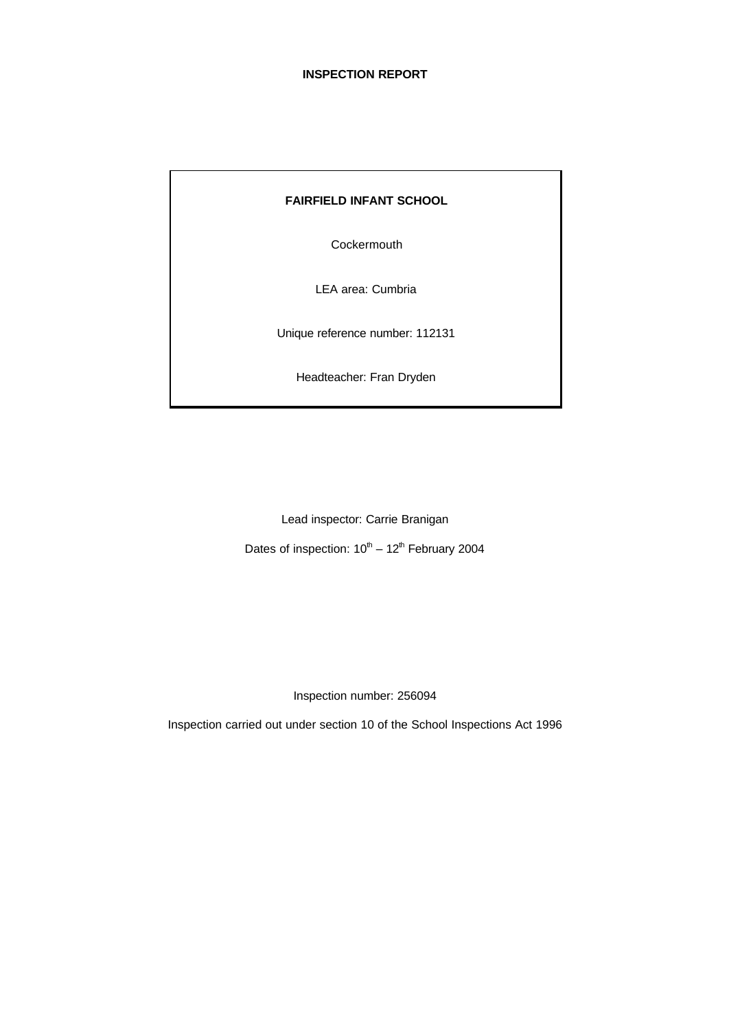|  |  | <b>FAIRFIELD INFANT SCHOOL</b> |  |
|--|--|--------------------------------|--|
|--|--|--------------------------------|--|

**Cockermouth** 

LEA area: Cumbria

Unique reference number: 112131

Headteacher: Fran Dryden

Lead inspector: Carrie Branigan

Dates of inspection:  $10^{\text{th}} - 12^{\text{th}}$  February 2004

Inspection number: 256094

Inspection carried out under section 10 of the School Inspections Act 1996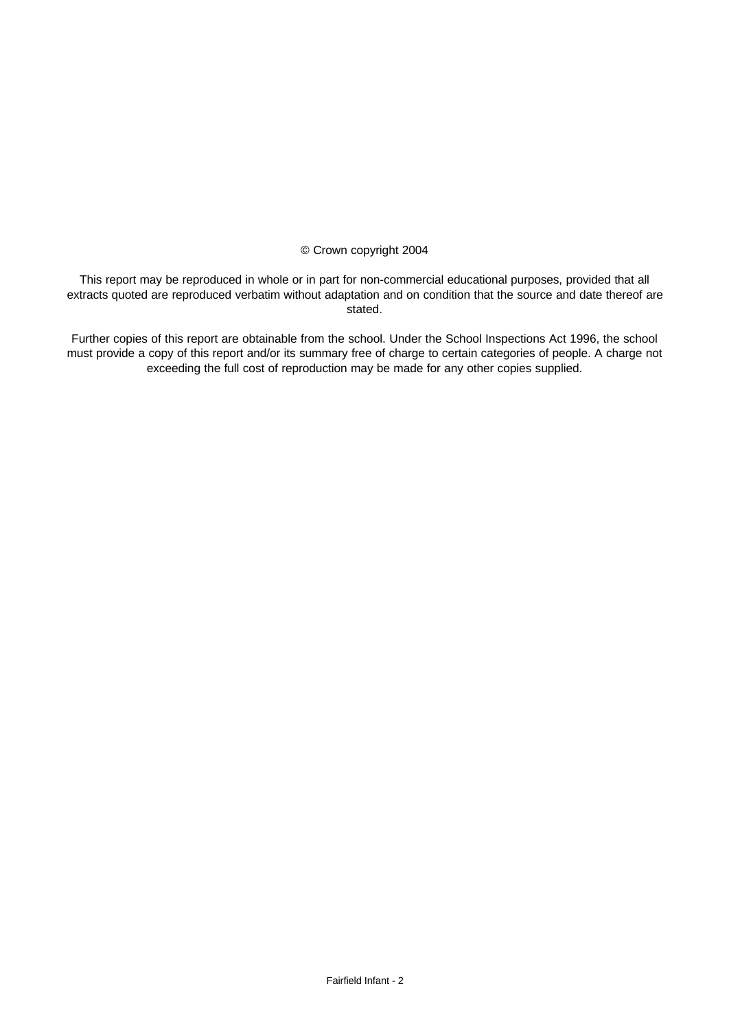#### © Crown copyright 2004

This report may be reproduced in whole or in part for non-commercial educational purposes, provided that all extracts quoted are reproduced verbatim without adaptation and on condition that the source and date thereof are stated.

Further copies of this report are obtainable from the school. Under the School Inspections Act 1996, the school must provide a copy of this report and/or its summary free of charge to certain categories of people. A charge not exceeding the full cost of reproduction may be made for any other copies supplied.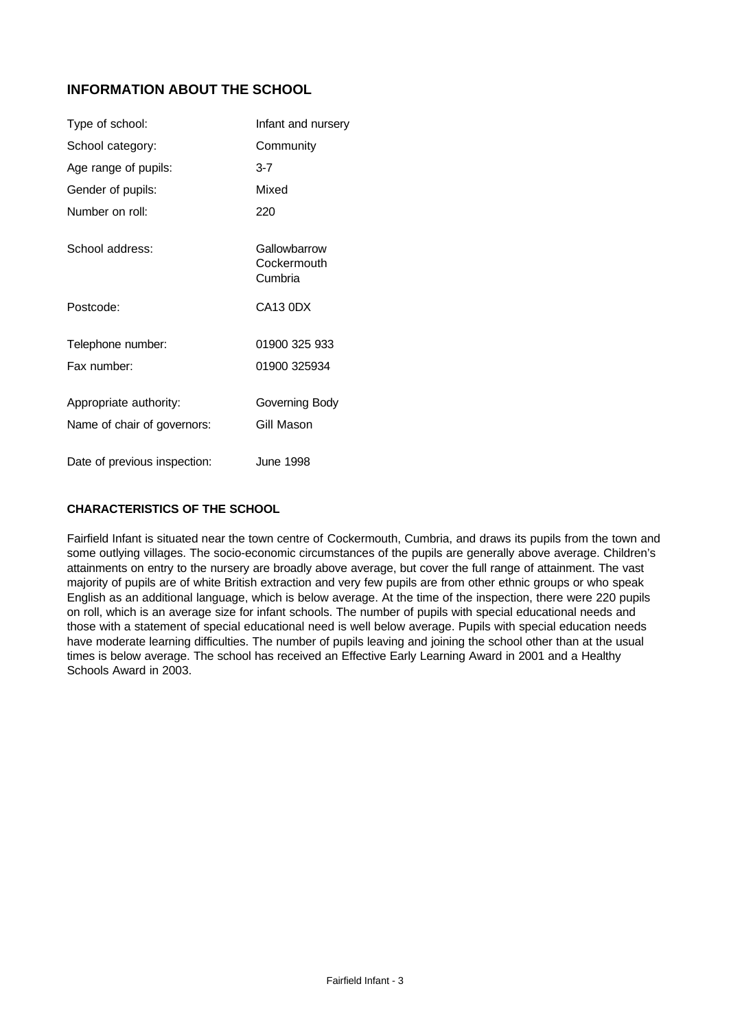# **INFORMATION ABOUT THE SCHOOL**

| Type of school:              | Infant and nursery                     |
|------------------------------|----------------------------------------|
| School category:             | Community                              |
| Age range of pupils:         | $3 - 7$                                |
| Gender of pupils:            | Mixed                                  |
| Number on roll:              | 220                                    |
| School address:              | Gallowbarrow<br>Cockermouth<br>Cumbria |
| Postcode:                    | CA <sub>13</sub> ODX                   |
| Telephone number:            | 01900 325 933                          |
| Fax number:                  | 01900 325934                           |
| Appropriate authority:       | Governing Body                         |
| Name of chair of governors:  | Gill Mason                             |
| Date of previous inspection: | June 1998                              |

## **CHARACTERISTICS OF THE SCHOOL**

Fairfield Infant is situated near the town centre of Cockermouth, Cumbria, and draws its pupils from the town and some outlying villages. The socio-economic circumstances of the pupils are generally above average. Children's attainments on entry to the nursery are broadly above average, but cover the full range of attainment. The vast majority of pupils are of white British extraction and very few pupils are from other ethnic groups or who speak English as an additional language, which is below average. At the time of the inspection, there were 220 pupils on roll, which is an average size for infant schools. The number of pupils with special educational needs and those with a statement of special educational need is well below average. Pupils with special education needs have moderate learning difficulties. The number of pupils leaving and joining the school other than at the usual times is below average. The school has received an Effective Early Learning Award in 2001 and a Healthy Schools Award in 2003.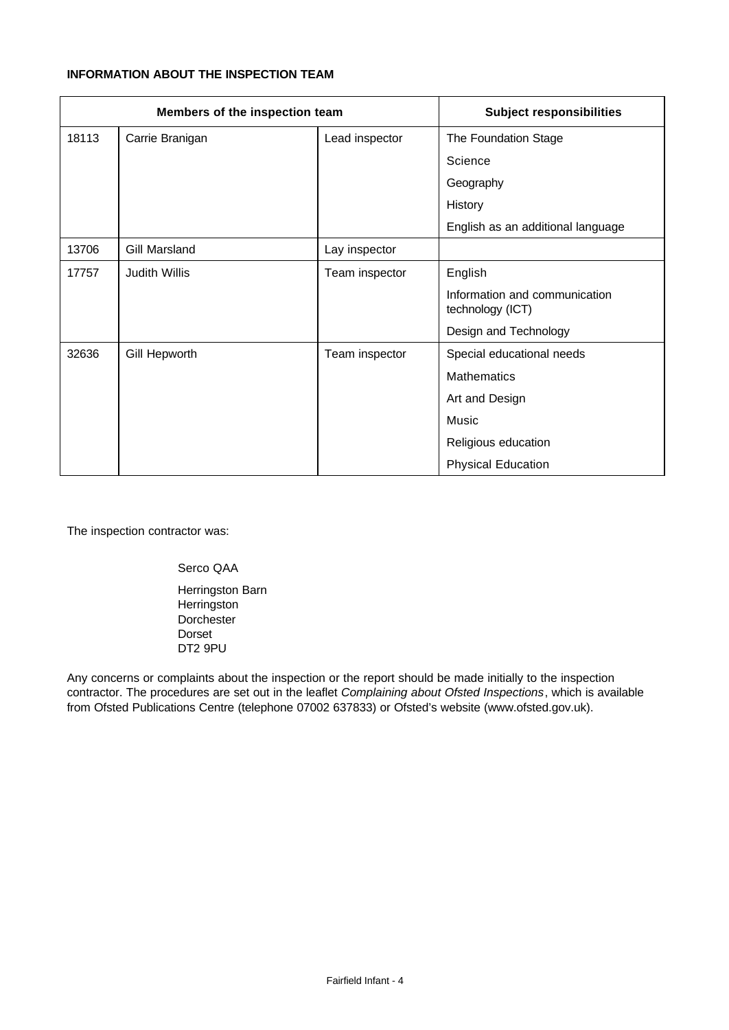## **INFORMATION ABOUT THE INSPECTION TEAM**

| Members of the inspection team |                      | <b>Subject responsibilities</b> |                                                   |
|--------------------------------|----------------------|---------------------------------|---------------------------------------------------|
| 18113                          | Carrie Branigan      | Lead inspector                  | The Foundation Stage                              |
|                                |                      |                                 | Science                                           |
|                                |                      |                                 | Geography                                         |
|                                |                      |                                 | History                                           |
|                                |                      |                                 | English as an additional language                 |
| 13706                          | Gill Marsland        | Lay inspector                   |                                                   |
| 17757                          | <b>Judith Willis</b> | Team inspector                  | English                                           |
|                                |                      |                                 | Information and communication<br>technology (ICT) |
|                                |                      |                                 | Design and Technology                             |
| 32636                          | Gill Hepworth        | Team inspector                  | Special educational needs                         |
|                                |                      |                                 | <b>Mathematics</b>                                |
|                                |                      |                                 | Art and Design                                    |
|                                |                      |                                 | Music                                             |
|                                |                      |                                 | Religious education                               |
|                                |                      |                                 | <b>Physical Education</b>                         |

The inspection contractor was:

Serco QAA Herringston Barn **Herringston Dorchester** Dorset DT2 9PU

Any concerns or complaints about the inspection or the report should be made initially to the inspection contractor. The procedures are set out in the leaflet *Complaining about Ofsted Inspections*, which is available from Ofsted Publications Centre (telephone 07002 637833) or Ofsted's website (www.ofsted.gov.uk).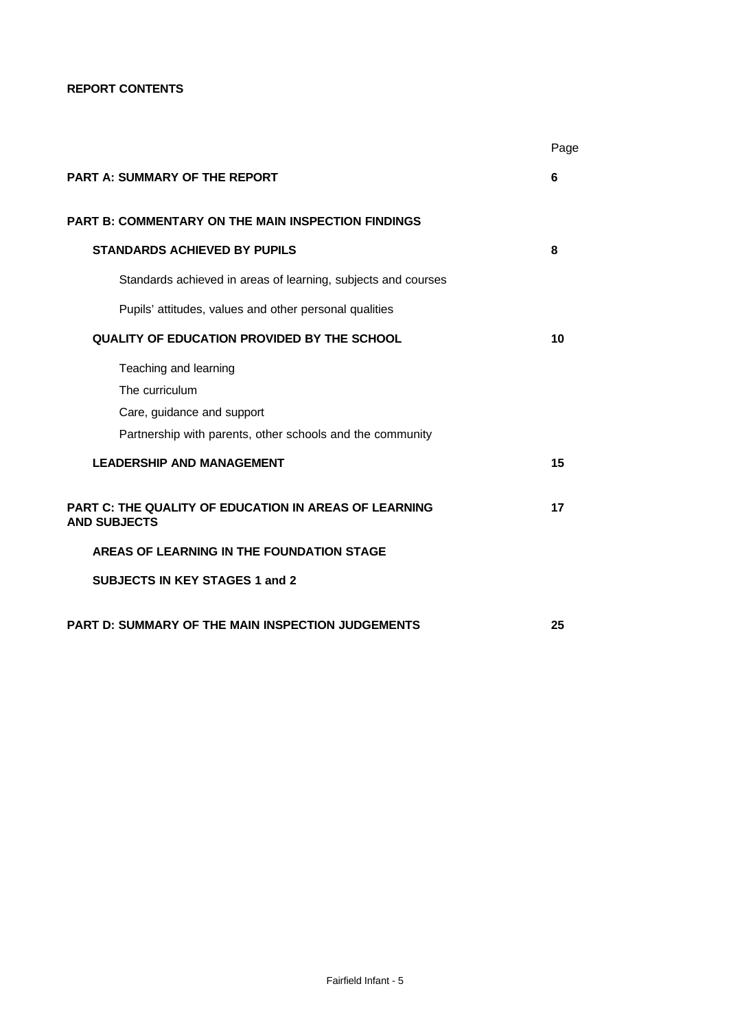**REPORT CONTENTS**

|                                                                                     | Page |
|-------------------------------------------------------------------------------------|------|
| <b>PART A: SUMMARY OF THE REPORT</b>                                                | 6    |
| <b>PART B: COMMENTARY ON THE MAIN INSPECTION FINDINGS</b>                           |      |
| <b>STANDARDS ACHIEVED BY PUPILS</b>                                                 | 8    |
| Standards achieved in areas of learning, subjects and courses                       |      |
| Pupils' attitudes, values and other personal qualities                              |      |
| QUALITY OF EDUCATION PROVIDED BY THE SCHOOL                                         | 10   |
| Teaching and learning                                                               |      |
| The curriculum                                                                      |      |
| Care, guidance and support                                                          |      |
| Partnership with parents, other schools and the community                           |      |
| <b>LEADERSHIP AND MANAGEMENT</b>                                                    | 15   |
| <b>PART C: THE QUALITY OF EDUCATION IN AREAS OF LEARNING</b><br><b>AND SUBJECTS</b> | 17   |
| AREAS OF LEARNING IN THE FOUNDATION STAGE                                           |      |
| <b>SUBJECTS IN KEY STAGES 1 and 2</b>                                               |      |
| <b>PART D: SUMMARY OF THE MAIN INSPECTION JUDGEMENTS</b>                            | 25   |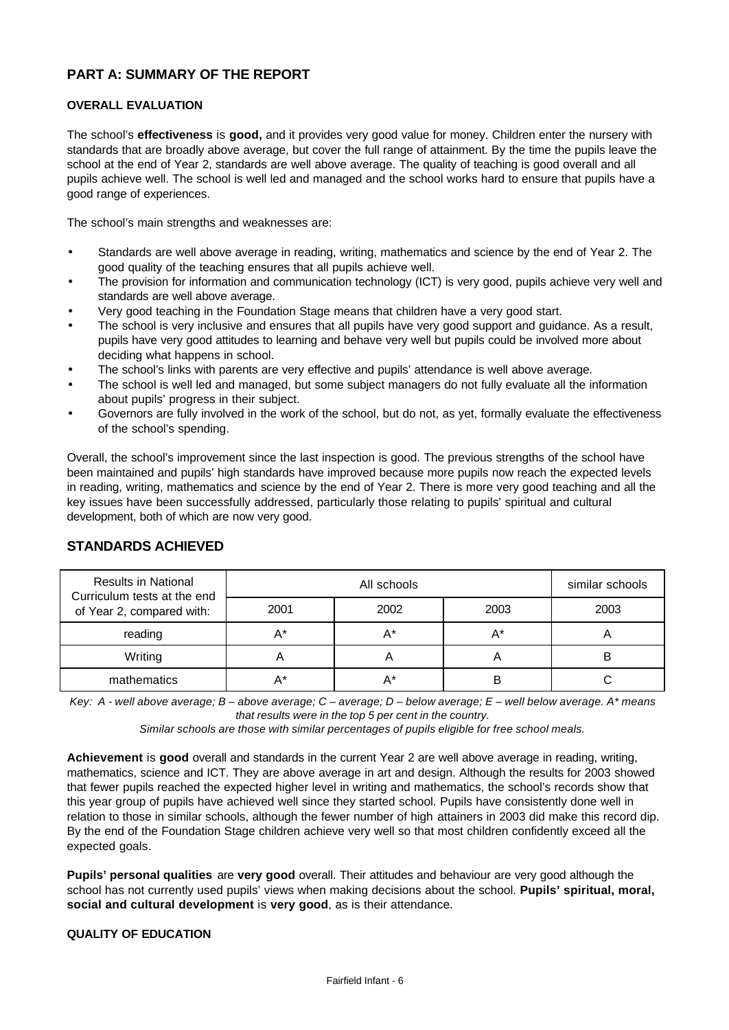## **PART A: SUMMARY OF THE REPORT**

#### **OVERALL EVALUATION**

The school's **effectiveness** is **good,** and it provides very good value for money. Children enter the nursery with standards that are broadly above average, but cover the full range of attainment. By the time the pupils leave the school at the end of Year 2, standards are well above average. The quality of teaching is good overall and all pupils achieve well. The school is well led and managed and the school works hard to ensure that pupils have a good range of experiences.

The school's main strengths and weaknesses are:

- Standards are well above average in reading, writing, mathematics and science by the end of Year 2. The good quality of the teaching ensures that all pupils achieve well.
- The provision for information and communication technology (ICT) is very good, pupils achieve very well and standards are well above average.
- Very good teaching in the Foundation Stage means that children have a very good start.
- The school is very inclusive and ensures that all pupils have very good support and guidance. As a result, pupils have very good attitudes to learning and behave very well but pupils could be involved more about deciding what happens in school.
- The school's links with parents are very effective and pupils' attendance is well above average.
- The school is well led and managed, but some subject managers do not fully evaluate all the information about pupils' progress in their subject.
- Governors are fully involved in the work of the school, but do not, as yet, formally evaluate the effectiveness of the school's spending.

Overall, the school's improvement since the last inspection is good. The previous strengths of the school have been maintained and pupils' high standards have improved because more pupils now reach the expected levels in reading, writing, mathematics and science by the end of Year 2. There is more very good teaching and all the key issues have been successfully addressed, particularly those relating to pupils' spiritual and cultural development, both of which are now very good.

| <b>Results in National</b><br>Curriculum tests at the end<br>of Year 2, compared with: |      | similar schools |      |      |
|----------------------------------------------------------------------------------------|------|-----------------|------|------|
|                                                                                        | 2001 | 2002            | 2003 | 2003 |
| reading                                                                                | А*   | A*              | A*   |      |
| Writing                                                                                |      |                 | m    | В    |
| mathematics                                                                            |      | A*              | B    |      |

### **STANDARDS ACHIEVED**

*Key: A - well above average; B – above average; C – average; D – below average; E – well below average. A\* means that results were in the top 5 per cent in the country.*

*Similar schools are those with similar percentages of pupils eligible for free school meals.*

**Achievement** is **good** overall and standards in the current Year 2 are well above average in reading, writing, mathematics, science and ICT. They are above average in art and design. Although the results for 2003 showed that fewer pupils reached the expected higher level in writing and mathematics, the school's records show that this year group of pupils have achieved well since they started school. Pupils have consistently done well in relation to those in similar schools, although the fewer number of high attainers in 2003 did make this record dip. By the end of the Foundation Stage children achieve very well so that most children confidently exceed all the expected goals.

**Pupils' personal qualities** are **very good** overall. Their attitudes and behaviour are very good although the school has not currently used pupils' views when making decisions about the school. **Pupils' spiritual, moral, social and cultural development** is **very good**, as is their attendance.

#### **QUALITY OF EDUCATION**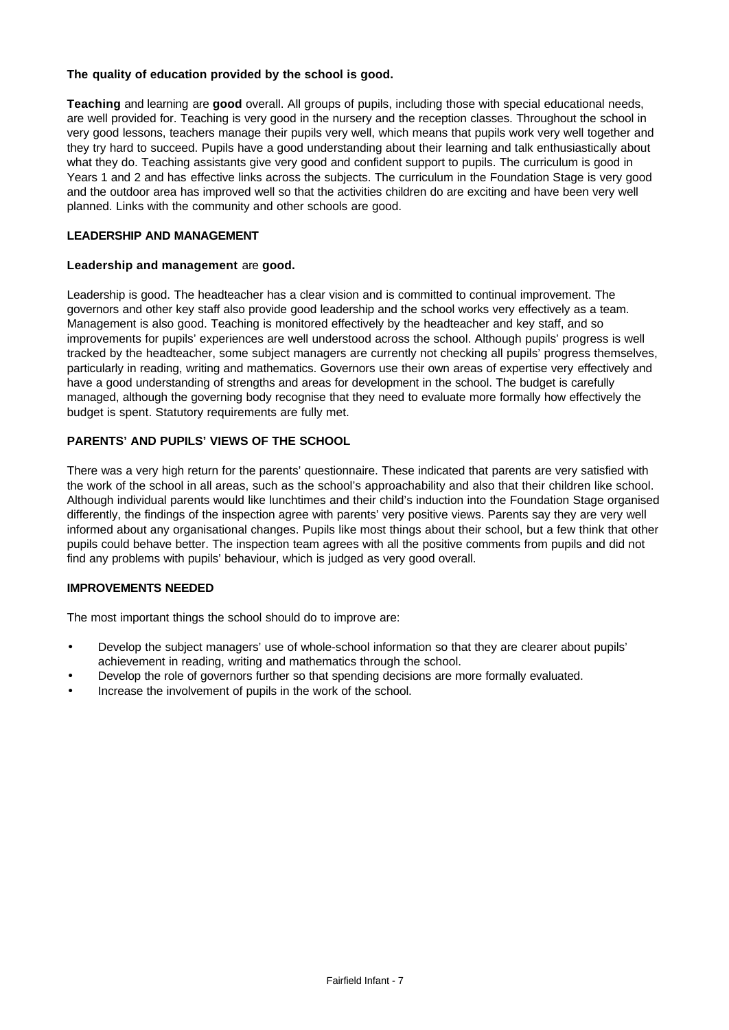#### **The quality of education provided by the school is good.**

**Teaching** and learning are **good** overall. All groups of pupils, including those with special educational needs, are well provided for. Teaching is very good in the nursery and the reception classes. Throughout the school in very good lessons, teachers manage their pupils very well, which means that pupils work very well together and they try hard to succeed. Pupils have a good understanding about their learning and talk enthusiastically about what they do. Teaching assistants give very good and confident support to pupils. The curriculum is good in Years 1 and 2 and has effective links across the subjects. The curriculum in the Foundation Stage is very good and the outdoor area has improved well so that the activities children do are exciting and have been very well planned. Links with the community and other schools are good.

#### **LEADERSHIP AND MANAGEMENT**

#### **Leadership and management** are **good.**

Leadership is good. The headteacher has a clear vision and is committed to continual improvement. The governors and other key staff also provide good leadership and the school works very effectively as a team. Management is also good. Teaching is monitored effectively by the headteacher and key staff, and so improvements for pupils' experiences are well understood across the school. Although pupils' progress is well tracked by the headteacher, some subject managers are currently not checking all pupils' progress themselves, particularly in reading, writing and mathematics. Governors use their own areas of expertise very effectively and have a good understanding of strengths and areas for development in the school. The budget is carefully managed, although the governing body recognise that they need to evaluate more formally how effectively the budget is spent. Statutory requirements are fully met.

### **PARENTS' AND PUPILS' VIEWS OF THE SCHOOL**

There was a very high return for the parents' questionnaire. These indicated that parents are very satisfied with the work of the school in all areas, such as the school's approachability and also that their children like school. Although individual parents would like lunchtimes and their child's induction into the Foundation Stage organised differently, the findings of the inspection agree with parents' very positive views. Parents say they are very well informed about any organisational changes. Pupils like most things about their school, but a few think that other pupils could behave better. The inspection team agrees with all the positive comments from pupils and did not find any problems with pupils' behaviour, which is judged as very good overall.

#### **IMPROVEMENTS NEEDED**

The most important things the school should do to improve are:

- Develop the subject managers' use of whole-school information so that they are clearer about pupils' achievement in reading, writing and mathematics through the school.
- Develop the role of governors further so that spending decisions are more formally evaluated.
- Increase the involvement of pupils in the work of the school.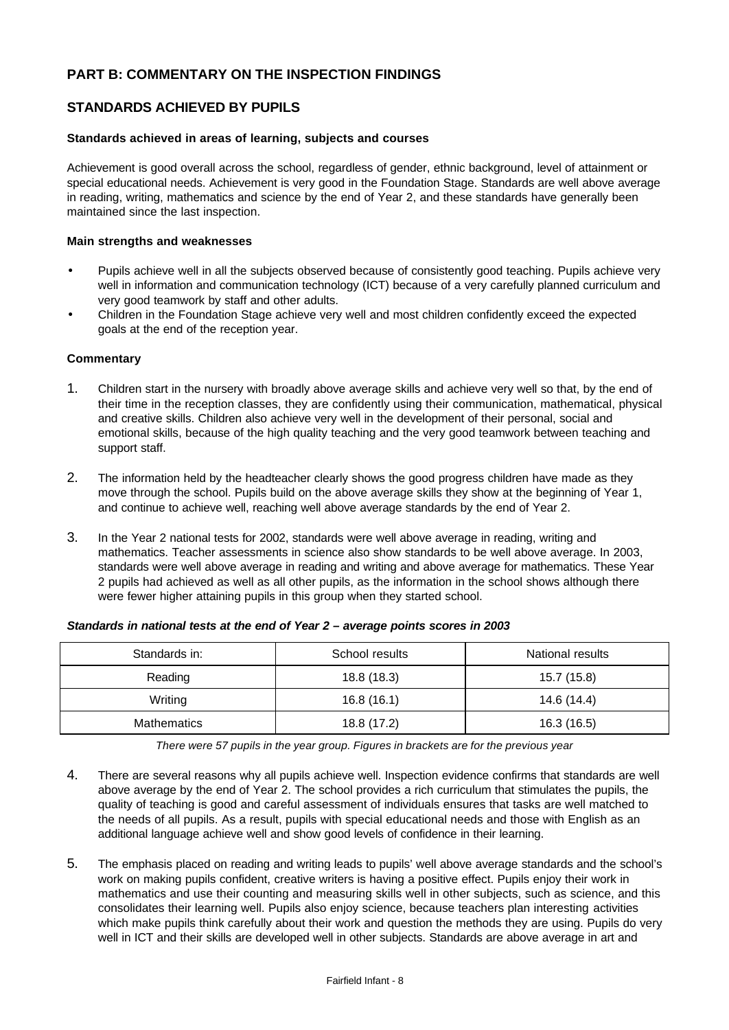# **PART B: COMMENTARY ON THE INSPECTION FINDINGS**

## **STANDARDS ACHIEVED BY PUPILS**

#### **Standards achieved in areas of learning, subjects and courses**

Achievement is good overall across the school, regardless of gender, ethnic background, level of attainment or special educational needs. Achievement is very good in the Foundation Stage. Standards are well above average in reading, writing, mathematics and science by the end of Year 2, and these standards have generally been maintained since the last inspection.

#### **Main strengths and weaknesses**

- Pupils achieve well in all the subjects observed because of consistently good teaching. Pupils achieve very well in information and communication technology (ICT) because of a very carefully planned curriculum and very good teamwork by staff and other adults.
- Children in the Foundation Stage achieve very well and most children confidently exceed the expected goals at the end of the reception year.

#### **Commentary**

- 1. Children start in the nursery with broadly above average skills and achieve very well so that, by the end of their time in the reception classes, they are confidently using their communication, mathematical, physical and creative skills. Children also achieve very well in the development of their personal, social and emotional skills, because of the high quality teaching and the very good teamwork between teaching and support staff.
- 2. The information held by the headteacher clearly shows the good progress children have made as they move through the school. Pupils build on the above average skills they show at the beginning of Year 1, and continue to achieve well, reaching well above average standards by the end of Year 2.
- 3. In the Year 2 national tests for 2002, standards were well above average in reading, writing and mathematics. Teacher assessments in science also show standards to be well above average. In 2003, standards were well above average in reading and writing and above average for mathematics. These Year 2 pupils had achieved as well as all other pupils, as the information in the school shows although there were fewer higher attaining pupils in this group when they started school.

| Standards in: | School results | National results |
|---------------|----------------|------------------|
| Reading       | 18.8 (18.3)    | 15.7 (15.8)      |
| Writing       | 16.8(16.1)     | 14.6 (14.4)      |
| Mathematics   | 18.8 (17.2)    | 16.3 (16.5)      |

#### *Standards in national tests at the end of Year 2 – average points scores in 2003*

*There were 57 pupils in the year group. Figures in brackets are for the previous year*

- 4. There are several reasons why all pupils achieve well. Inspection evidence confirms that standards are well above average by the end of Year 2. The school provides a rich curriculum that stimulates the pupils, the quality of teaching is good and careful assessment of individuals ensures that tasks are well matched to the needs of all pupils. As a result, pupils with special educational needs and those with English as an additional language achieve well and show good levels of confidence in their learning.
- 5. The emphasis placed on reading and writing leads to pupils' well above average standards and the school's work on making pupils confident, creative writers is having a positive effect. Pupils enjoy their work in mathematics and use their counting and measuring skills well in other subjects, such as science, and this consolidates their learning well. Pupils also enjoy science, because teachers plan interesting activities which make pupils think carefully about their work and question the methods they are using. Pupils do very well in ICT and their skills are developed well in other subjects. Standards are above average in art and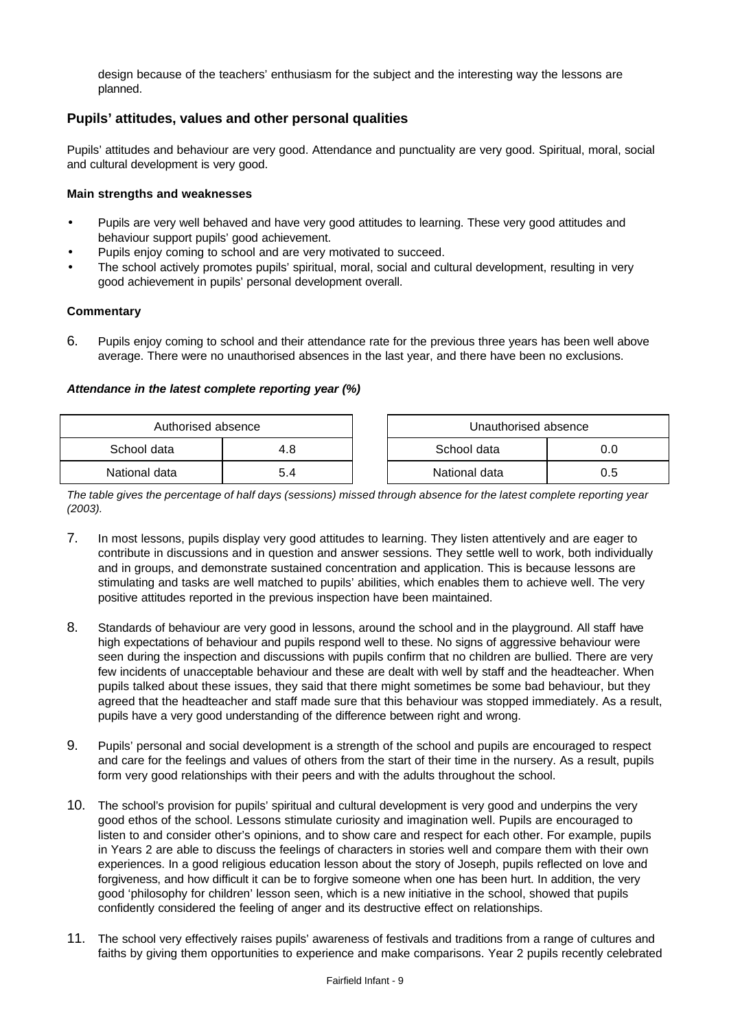design because of the teachers' enthusiasm for the subject and the interesting way the lessons are planned.

## **Pupils' attitudes, values and other personal qualities**

Pupils' attitudes and behaviour are very good. Attendance and punctuality are very good. Spiritual, moral, social and cultural development is very good.

#### **Main strengths and weaknesses**

- Pupils are very well behaved and have very good attitudes to learning. These very good attitudes and behaviour support pupils' good achievement.
- Pupils enjoy coming to school and are very motivated to succeed.
- The school actively promotes pupils' spiritual, moral, social and cultural development, resulting in very good achievement in pupils' personal development overall.

#### **Commentary**

6. Pupils enjoy coming to school and their attendance rate for the previous three years has been well above average. There were no unauthorised absences in the last year, and there have been no exclusions.

#### *Attendance in the latest complete reporting year (%)*

| Authorised absence |     | Unauthorised absence |     |
|--------------------|-----|----------------------|-----|
| School data        | 4.8 | School data          |     |
| National data      | 5.4 | National data        | 0.5 |

*The table gives the percentage of half days (sessions) missed through absence for the latest complete reporting year (2003).*

- 7. In most lessons, pupils display very good attitudes to learning. They listen attentively and are eager to contribute in discussions and in question and answer sessions. They settle well to work, both individually and in groups, and demonstrate sustained concentration and application. This is because lessons are stimulating and tasks are well matched to pupils' abilities, which enables them to achieve well. The very positive attitudes reported in the previous inspection have been maintained.
- 8. Standards of behaviour are very good in lessons, around the school and in the playground. All staff have high expectations of behaviour and pupils respond well to these. No signs of aggressive behaviour were seen during the inspection and discussions with pupils confirm that no children are bullied. There are very few incidents of unacceptable behaviour and these are dealt with well by staff and the headteacher. When pupils talked about these issues, they said that there might sometimes be some bad behaviour, but they agreed that the headteacher and staff made sure that this behaviour was stopped immediately. As a result, pupils have a very good understanding of the difference between right and wrong.
- 9. Pupils' personal and social development is a strength of the school and pupils are encouraged to respect and care for the feelings and values of others from the start of their time in the nursery. As a result, pupils form very good relationships with their peers and with the adults throughout the school.
- 10. The school's provision for pupils' spiritual and cultural development is very good and underpins the very good ethos of the school. Lessons stimulate curiosity and imagination well. Pupils are encouraged to listen to and consider other's opinions, and to show care and respect for each other. For example, pupils in Years 2 are able to discuss the feelings of characters in stories well and compare them with their own experiences. In a good religious education lesson about the story of Joseph, pupils reflected on love and forgiveness, and how difficult it can be to forgive someone when one has been hurt. In addition, the very good 'philosophy for children' lesson seen, which is a new initiative in the school, showed that pupils confidently considered the feeling of anger and its destructive effect on relationships.
- 11. The school very effectively raises pupils' awareness of festivals and traditions from a range of cultures and faiths by giving them opportunities to experience and make comparisons. Year 2 pupils recently celebrated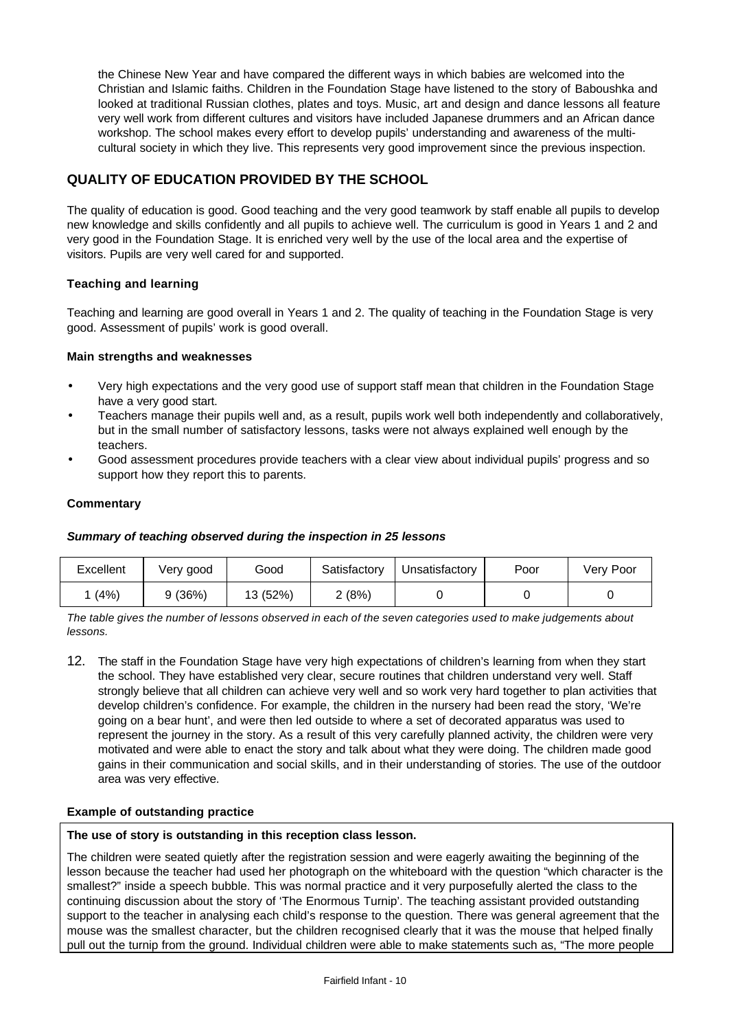the Chinese New Year and have compared the different ways in which babies are welcomed into the Christian and Islamic faiths. Children in the Foundation Stage have listened to the story of Baboushka and looked at traditional Russian clothes, plates and toys. Music, art and design and dance lessons all feature very well work from different cultures and visitors have included Japanese drummers and an African dance workshop. The school makes every effort to develop pupils' understanding and awareness of the multicultural society in which they live. This represents very good improvement since the previous inspection.

# **QUALITY OF EDUCATION PROVIDED BY THE SCHOOL**

The quality of education is good. Good teaching and the very good teamwork by staff enable all pupils to develop new knowledge and skills confidently and all pupils to achieve well. The curriculum is good in Years 1 and 2 and very good in the Foundation Stage. It is enriched very well by the use of the local area and the expertise of visitors. Pupils are very well cared for and supported.

### **Teaching and learning**

Teaching and learning are good overall in Years 1 and 2. The quality of teaching in the Foundation Stage is very good. Assessment of pupils' work is good overall.

#### **Main strengths and weaknesses**

- Very high expectations and the very good use of support staff mean that children in the Foundation Stage have a very good start.
- Teachers manage their pupils well and, as a result, pupils work well both independently and collaboratively, but in the small number of satisfactory lessons, tasks were not always explained well enough by the teachers.
- Good assessment procedures provide teachers with a clear view about individual pupils' progress and so support how they report this to parents.

#### **Commentary**

#### *Summary of teaching observed during the inspection in 25 lessons*

| Excellent | Verv good | Good     | Satisfactory | Jnsatisfactory | Poor | Very Poor |
|-----------|-----------|----------|--------------|----------------|------|-----------|
| (4%)      | 9 (36%)   | 13 (52%) | 2 (8%)       |                |      |           |

*The table gives the number of lessons observed in each of the seven categories used to make judgements about lessons.*

12. The staff in the Foundation Stage have very high expectations of children's learning from when they start the school. They have established very clear, secure routines that children understand very well. Staff strongly believe that all children can achieve very well and so work very hard together to plan activities that develop children's confidence. For example, the children in the nursery had been read the story, 'We're going on a bear hunt', and were then led outside to where a set of decorated apparatus was used to represent the journey in the story. As a result of this very carefully planned activity, the children were very motivated and were able to enact the story and talk about what they were doing. The children made good gains in their communication and social skills, and in their understanding of stories. The use of the outdoor area was very effective.

#### **Example of outstanding practice**

#### **The use of story is outstanding in this reception class lesson.**

The children were seated quietly after the registration session and were eagerly awaiting the beginning of the lesson because the teacher had used her photograph on the whiteboard with the question "which character is the smallest?" inside a speech bubble. This was normal practice and it very purposefully alerted the class to the continuing discussion about the story of 'The Enormous Turnip'. The teaching assistant provided outstanding support to the teacher in analysing each child's response to the question. There was general agreement that the mouse was the smallest character, but the children recognised clearly that it was the mouse that helped finally pull out the turnip from the ground. Individual children were able to make statements such as, "The more people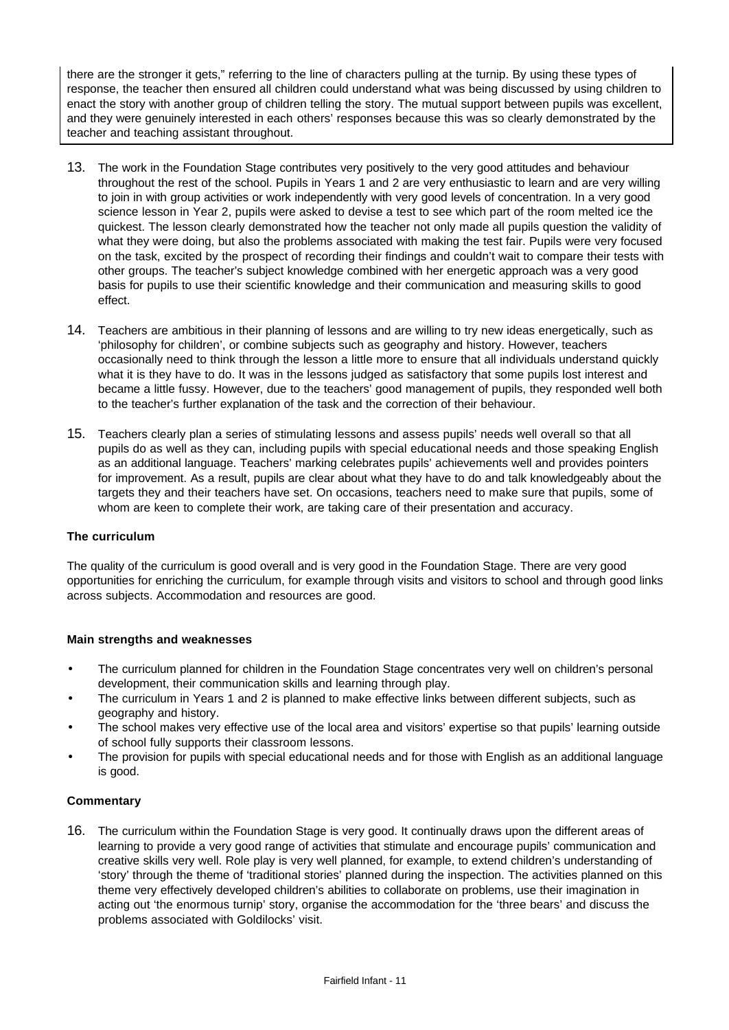there are the stronger it gets," referring to the line of characters pulling at the turnip. By using these types of response, the teacher then ensured all children could understand what was being discussed by using children to enact the story with another group of children telling the story. The mutual support between pupils was excellent, and they were genuinely interested in each others' responses because this was so clearly demonstrated by the teacher and teaching assistant throughout.

- 13. The work in the Foundation Stage contributes very positively to the very good attitudes and behaviour throughout the rest of the school. Pupils in Years 1 and 2 are very enthusiastic to learn and are very willing to join in with group activities or work independently with very good levels of concentration. In a very good science lesson in Year 2, pupils were asked to devise a test to see which part of the room melted ice the quickest. The lesson clearly demonstrated how the teacher not only made all pupils question the validity of what they were doing, but also the problems associated with making the test fair. Pupils were very focused on the task, excited by the prospect of recording their findings and couldn't wait to compare their tests with other groups. The teacher's subject knowledge combined with her energetic approach was a very good basis for pupils to use their scientific knowledge and their communication and measuring skills to good effect.
- 14. Teachers are ambitious in their planning of lessons and are willing to try new ideas energetically, such as 'philosophy for children', or combine subjects such as geography and history. However, teachers occasionally need to think through the lesson a little more to ensure that all individuals understand quickly what it is they have to do. It was in the lessons judged as satisfactory that some pupils lost interest and became a little fussy. However, due to the teachers' good management of pupils, they responded well both to the teacher's further explanation of the task and the correction of their behaviour.
- 15. Teachers clearly plan a series of stimulating lessons and assess pupils' needs well overall so that all pupils do as well as they can, including pupils with special educational needs and those speaking English as an additional language. Teachers' marking celebrates pupils' achievements well and provides pointers for improvement. As a result, pupils are clear about what they have to do and talk knowledgeably about the targets they and their teachers have set. On occasions, teachers need to make sure that pupils, some of whom are keen to complete their work, are taking care of their presentation and accuracy.

### **The curriculum**

The quality of the curriculum is good overall and is very good in the Foundation Stage. There are very good opportunities for enriching the curriculum, for example through visits and visitors to school and through good links across subjects. Accommodation and resources are good.

#### **Main strengths and weaknesses**

- The curriculum planned for children in the Foundation Stage concentrates very well on children's personal development, their communication skills and learning through play.
- The curriculum in Years 1 and 2 is planned to make effective links between different subjects, such as geography and history.
- The school makes very effective use of the local area and visitors' expertise so that pupils' learning outside of school fully supports their classroom lessons.
- The provision for pupils with special educational needs and for those with English as an additional language is good.

#### **Commentary**

16. The curriculum within the Foundation Stage is very good. It continually draws upon the different areas of learning to provide a very good range of activities that stimulate and encourage pupils' communication and creative skills very well. Role play is very well planned, for example, to extend children's understanding of 'story' through the theme of 'traditional stories' planned during the inspection. The activities planned on this theme very effectively developed children's abilities to collaborate on problems, use their imagination in acting out 'the enormous turnip' story, organise the accommodation for the 'three bears' and discuss the problems associated with Goldilocks' visit.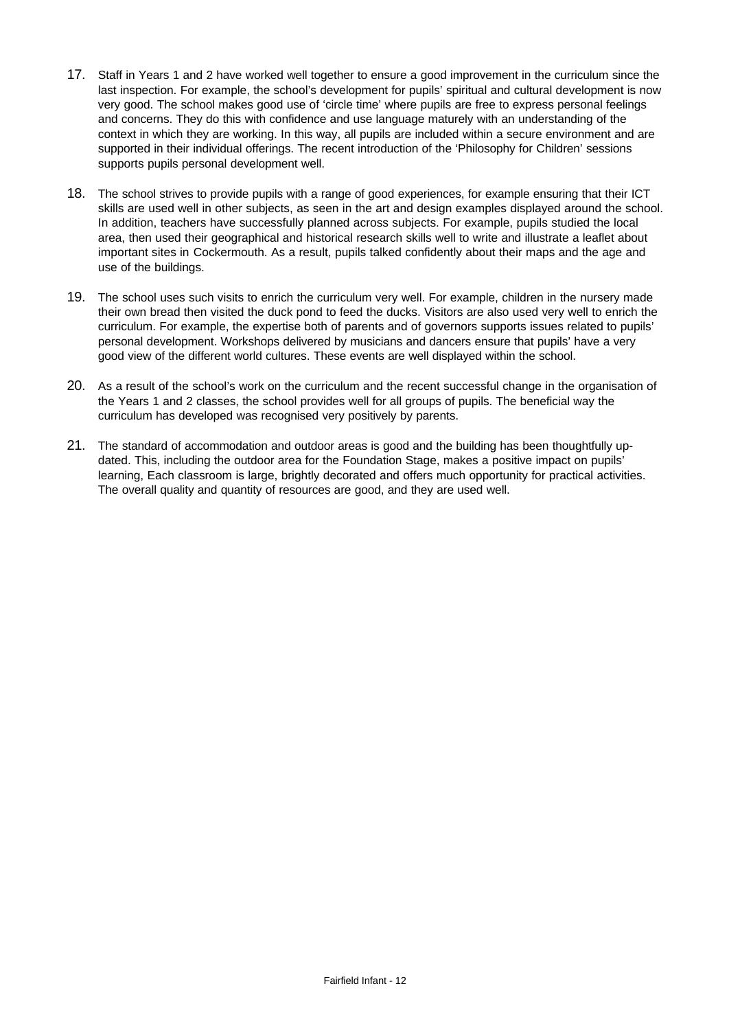- 17. Staff in Years 1 and 2 have worked well together to ensure a good improvement in the curriculum since the last inspection. For example, the school's development for pupils' spiritual and cultural development is now very good. The school makes good use of 'circle time' where pupils are free to express personal feelings and concerns. They do this with confidence and use language maturely with an understanding of the context in which they are working. In this way, all pupils are included within a secure environment and are supported in their individual offerings. The recent introduction of the 'Philosophy for Children' sessions supports pupils personal development well.
- 18. The school strives to provide pupils with a range of good experiences, for example ensuring that their ICT skills are used well in other subjects, as seen in the art and design examples displayed around the school. In addition, teachers have successfully planned across subjects. For example, pupils studied the local area, then used their geographical and historical research skills well to write and illustrate a leaflet about important sites in Cockermouth. As a result, pupils talked confidently about their maps and the age and use of the buildings.
- 19. The school uses such visits to enrich the curriculum very well. For example, children in the nursery made their own bread then visited the duck pond to feed the ducks. Visitors are also used very well to enrich the curriculum. For example, the expertise both of parents and of governors supports issues related to pupils' personal development. Workshops delivered by musicians and dancers ensure that pupils' have a very good view of the different world cultures. These events are well displayed within the school.
- 20. As a result of the school's work on the curriculum and the recent successful change in the organisation of the Years 1 and 2 classes, the school provides well for all groups of pupils. The beneficial way the curriculum has developed was recognised very positively by parents.
- 21. The standard of accommodation and outdoor areas is good and the building has been thoughtfully updated. This, including the outdoor area for the Foundation Stage, makes a positive impact on pupils' learning, Each classroom is large, brightly decorated and offers much opportunity for practical activities. The overall quality and quantity of resources are good, and they are used well.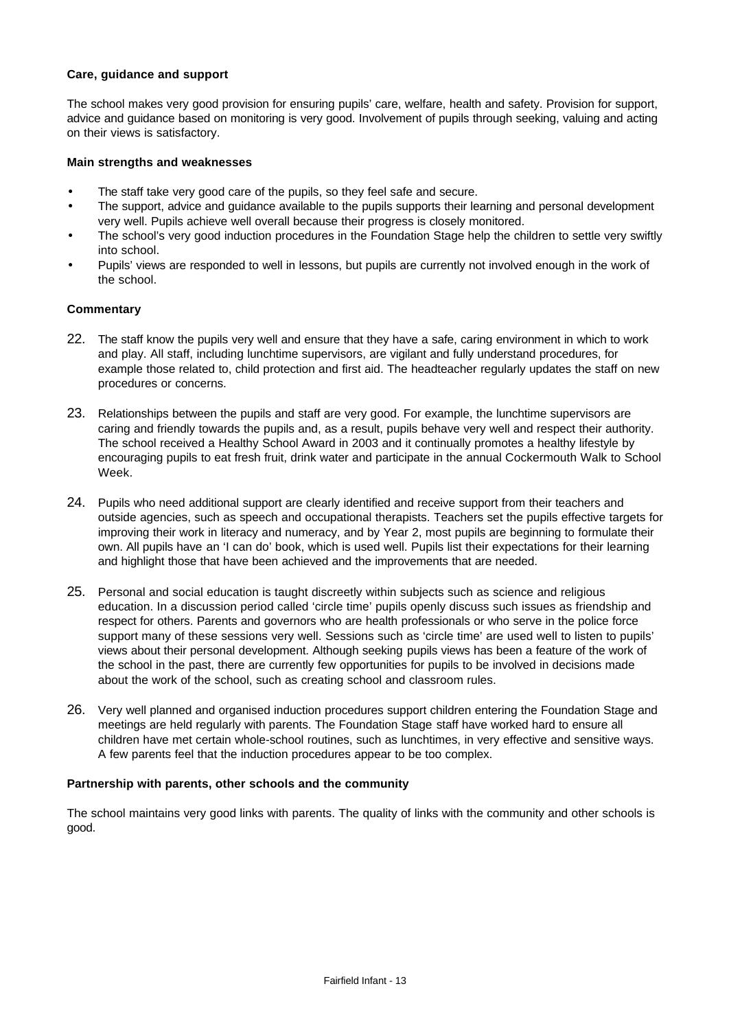#### **Care, guidance and support**

The school makes very good provision for ensuring pupils' care, welfare, health and safety. Provision for support, advice and guidance based on monitoring is very good. Involvement of pupils through seeking, valuing and acting on their views is satisfactory.

#### **Main strengths and weaknesses**

- The staff take very good care of the pupils, so they feel safe and secure.
- The support, advice and guidance available to the pupils supports their learning and personal development very well. Pupils achieve well overall because their progress is closely monitored.
- The school's very good induction procedures in the Foundation Stage help the children to settle very swiftly into school.
- Pupils' views are responded to well in lessons, but pupils are currently not involved enough in the work of the school.

#### **Commentary**

- 22. The staff know the pupils very well and ensure that they have a safe, caring environment in which to work and play. All staff, including lunchtime supervisors, are vigilant and fully understand procedures, for example those related to, child protection and first aid. The headteacher regularly updates the staff on new procedures or concerns.
- 23. Relationships between the pupils and staff are very good. For example, the lunchtime supervisors are caring and friendly towards the pupils and, as a result, pupils behave very well and respect their authority. The school received a Healthy School Award in 2003 and it continually promotes a healthy lifestyle by encouraging pupils to eat fresh fruit, drink water and participate in the annual Cockermouth Walk to School Week.
- 24. Pupils who need additional support are clearly identified and receive support from their teachers and outside agencies, such as speech and occupational therapists. Teachers set the pupils effective targets for improving their work in literacy and numeracy, and by Year 2, most pupils are beginning to formulate their own. All pupils have an 'I can do' book, which is used well. Pupils list their expectations for their learning and highlight those that have been achieved and the improvements that are needed.
- 25. Personal and social education is taught discreetly within subjects such as science and religious education. In a discussion period called 'circle time' pupils openly discuss such issues as friendship and respect for others. Parents and governors who are health professionals or who serve in the police force support many of these sessions very well. Sessions such as 'circle time' are used well to listen to pupils' views about their personal development. Although seeking pupils views has been a feature of the work of the school in the past, there are currently few opportunities for pupils to be involved in decisions made about the work of the school, such as creating school and classroom rules.
- 26. Very well planned and organised induction procedures support children entering the Foundation Stage and meetings are held regularly with parents. The Foundation Stage staff have worked hard to ensure all children have met certain whole-school routines, such as lunchtimes, in very effective and sensitive ways. A few parents feel that the induction procedures appear to be too complex.

#### **Partnership with parents, other schools and the community**

The school maintains very good links with parents. The quality of links with the community and other schools is good.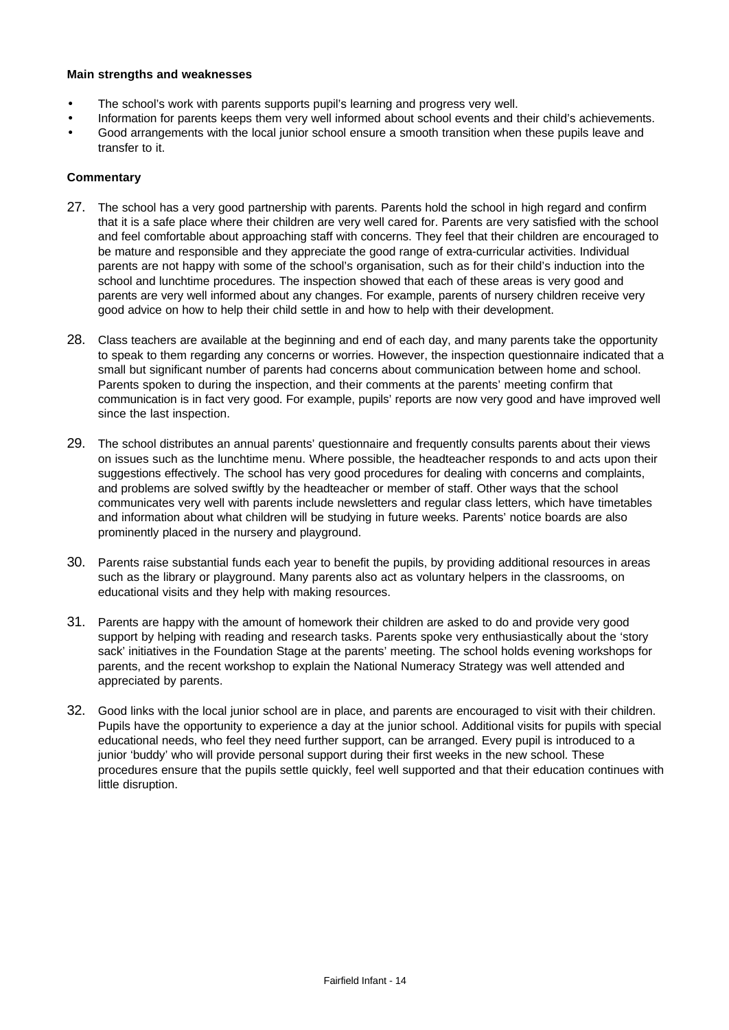#### **Main strengths and weaknesses**

- The school's work with parents supports pupil's learning and progress very well.
- Information for parents keeps them very well informed about school events and their child's achievements.
- Good arrangements with the local junior school ensure a smooth transition when these pupils leave and transfer to it.

- 27. The school has a very good partnership with parents. Parents hold the school in high regard and confirm that it is a safe place where their children are very well cared for. Parents are very satisfied with the school and feel comfortable about approaching staff with concerns. They feel that their children are encouraged to be mature and responsible and they appreciate the good range of extra-curricular activities. Individual parents are not happy with some of the school's organisation, such as for their child's induction into the school and lunchtime procedures. The inspection showed that each of these areas is very good and parents are very well informed about any changes. For example, parents of nursery children receive very good advice on how to help their child settle in and how to help with their development.
- 28. Class teachers are available at the beginning and end of each day, and many parents take the opportunity to speak to them regarding any concerns or worries. However, the inspection questionnaire indicated that a small but significant number of parents had concerns about communication between home and school. Parents spoken to during the inspection, and their comments at the parents' meeting confirm that communication is in fact very good. For example, pupils' reports are now very good and have improved well since the last inspection.
- 29. The school distributes an annual parents' questionnaire and frequently consults parents about their views on issues such as the lunchtime menu. Where possible, the headteacher responds to and acts upon their suggestions effectively. The school has very good procedures for dealing with concerns and complaints, and problems are solved swiftly by the headteacher or member of staff. Other ways that the school communicates very well with parents include newsletters and regular class letters, which have timetables and information about what children will be studying in future weeks. Parents' notice boards are also prominently placed in the nursery and playground.
- 30. Parents raise substantial funds each year to benefit the pupils, by providing additional resources in areas such as the library or playground. Many parents also act as voluntary helpers in the classrooms, on educational visits and they help with making resources.
- 31. Parents are happy with the amount of homework their children are asked to do and provide very good support by helping with reading and research tasks. Parents spoke very enthusiastically about the 'story sack' initiatives in the Foundation Stage at the parents' meeting. The school holds evening workshops for parents, and the recent workshop to explain the National Numeracy Strategy was well attended and appreciated by parents.
- 32. Good links with the local junior school are in place, and parents are encouraged to visit with their children. Pupils have the opportunity to experience a day at the junior school. Additional visits for pupils with special educational needs, who feel they need further support, can be arranged. Every pupil is introduced to a junior 'buddy' who will provide personal support during their first weeks in the new school. These procedures ensure that the pupils settle quickly, feel well supported and that their education continues with little disruption.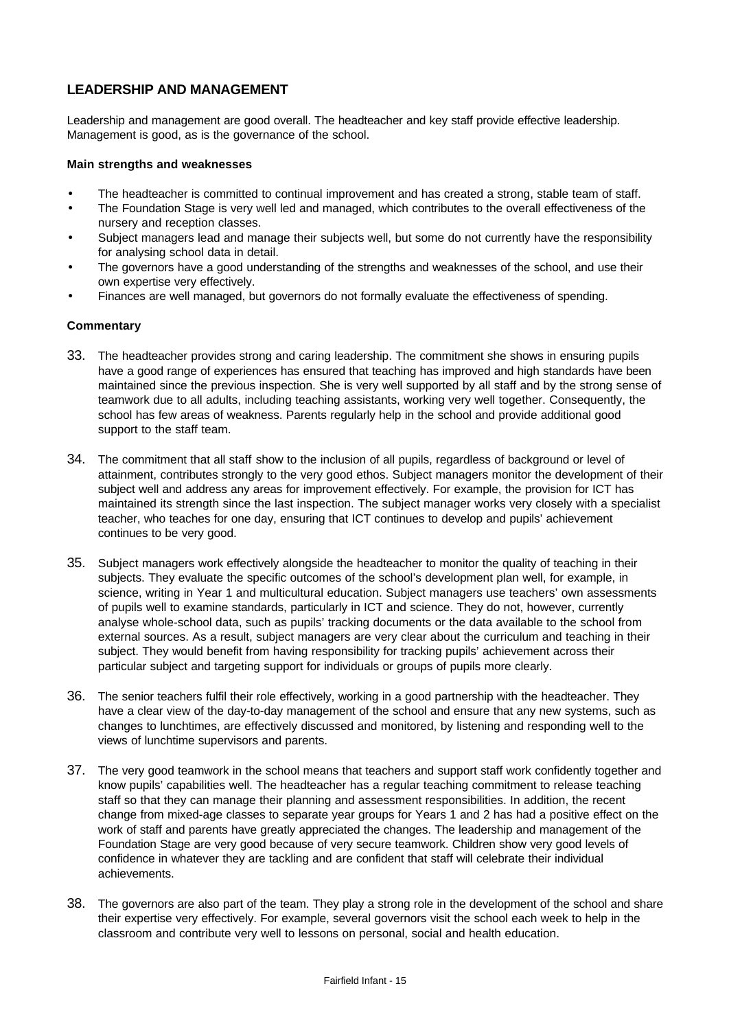## **LEADERSHIP AND MANAGEMENT**

Leadership and management are good overall. The headteacher and key staff provide effective leadership. Management is good, as is the governance of the school.

#### **Main strengths and weaknesses**

- The headteacher is committed to continual improvement and has created a strong, stable team of staff.
- The Foundation Stage is very well led and managed, which contributes to the overall effectiveness of the nursery and reception classes.
- Subject managers lead and manage their subjects well, but some do not currently have the responsibility for analysing school data in detail.
- The governors have a good understanding of the strengths and weaknesses of the school, and use their own expertise very effectively.
- Finances are well managed, but governors do not formally evaluate the effectiveness of spending.

- 33. The headteacher provides strong and caring leadership. The commitment she shows in ensuring pupils have a good range of experiences has ensured that teaching has improved and high standards have been maintained since the previous inspection. She is very well supported by all staff and by the strong sense of teamwork due to all adults, including teaching assistants, working very well together. Consequently, the school has few areas of weakness. Parents regularly help in the school and provide additional good support to the staff team.
- 34. The commitment that all staff show to the inclusion of all pupils, regardless of background or level of attainment, contributes strongly to the very good ethos. Subject managers monitor the development of their subject well and address any areas for improvement effectively. For example, the provision for ICT has maintained its strength since the last inspection. The subject manager works very closely with a specialist teacher, who teaches for one day, ensuring that ICT continues to develop and pupils' achievement continues to be very good.
- 35. Subject managers work effectively alongside the headteacher to monitor the quality of teaching in their subjects. They evaluate the specific outcomes of the school's development plan well, for example, in science, writing in Year 1 and multicultural education. Subject managers use teachers' own assessments of pupils well to examine standards, particularly in ICT and science. They do not, however, currently analyse whole-school data, such as pupils' tracking documents or the data available to the school from external sources. As a result, subject managers are very clear about the curriculum and teaching in their subject. They would benefit from having responsibility for tracking pupils' achievement across their particular subject and targeting support for individuals or groups of pupils more clearly.
- 36. The senior teachers fulfil their role effectively, working in a good partnership with the headteacher. They have a clear view of the day-to-day management of the school and ensure that any new systems, such as changes to lunchtimes, are effectively discussed and monitored, by listening and responding well to the views of lunchtime supervisors and parents.
- 37. The very good teamwork in the school means that teachers and support staff work confidently together and know pupils' capabilities well. The headteacher has a regular teaching commitment to release teaching staff so that they can manage their planning and assessment responsibilities. In addition, the recent change from mixed-age classes to separate year groups for Years 1 and 2 has had a positive effect on the work of staff and parents have greatly appreciated the changes. The leadership and management of the Foundation Stage are very good because of very secure teamwork. Children show very good levels of confidence in whatever they are tackling and are confident that staff will celebrate their individual achievements.
- 38. The governors are also part of the team. They play a strong role in the development of the school and share their expertise very effectively. For example, several governors visit the school each week to help in the classroom and contribute very well to lessons on personal, social and health education.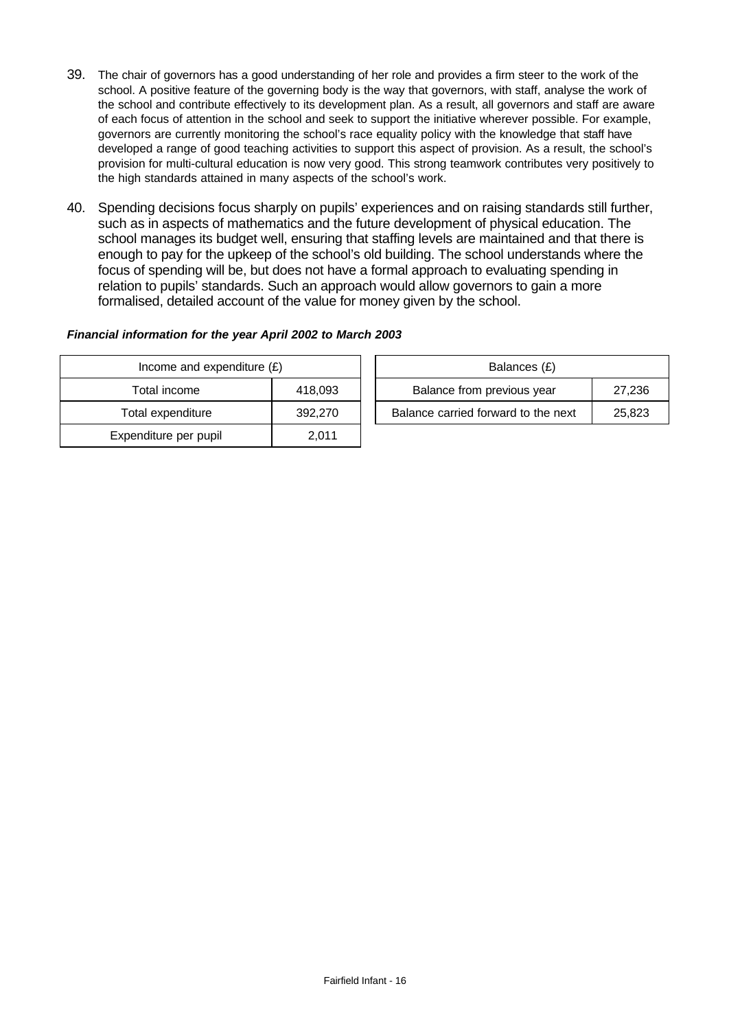- 39. The chair of governors has a good understanding of her role and provides a firm steer to the work of the school. A positive feature of the governing body is the way that governors, with staff, analyse the work of the school and contribute effectively to its development plan. As a result, all governors and staff are aware of each focus of attention in the school and seek to support the initiative wherever possible. For example, governors are currently monitoring the school's race equality policy with the knowledge that staff have developed a range of good teaching activities to support this aspect of provision. As a result, the school's provision for multi-cultural education is now very good. This strong teamwork contributes very positively to the high standards attained in many aspects of the school's work.
- 40. Spending decisions focus sharply on pupils' experiences and on raising standards still further, such as in aspects of mathematics and the future development of physical education. The school manages its budget well, ensuring that staffing levels are maintained and that there is enough to pay for the upkeep of the school's old building. The school understands where the focus of spending will be, but does not have a formal approach to evaluating spending in relation to pupils' standards. Such an approach would allow governors to gain a more formalised, detailed account of the value for money given by the school.

### *Financial information for the year April 2002 to March 2003*

| Income and expenditure $(E)$ |         | Balances (£)                        |        |
|------------------------------|---------|-------------------------------------|--------|
| Total income                 | 418,093 | Balance from previous year          | 27,236 |
| Total expenditure            | 392,270 | Balance carried forward to the next | 25,823 |
| Expenditure per pupil        | 2,011   |                                     |        |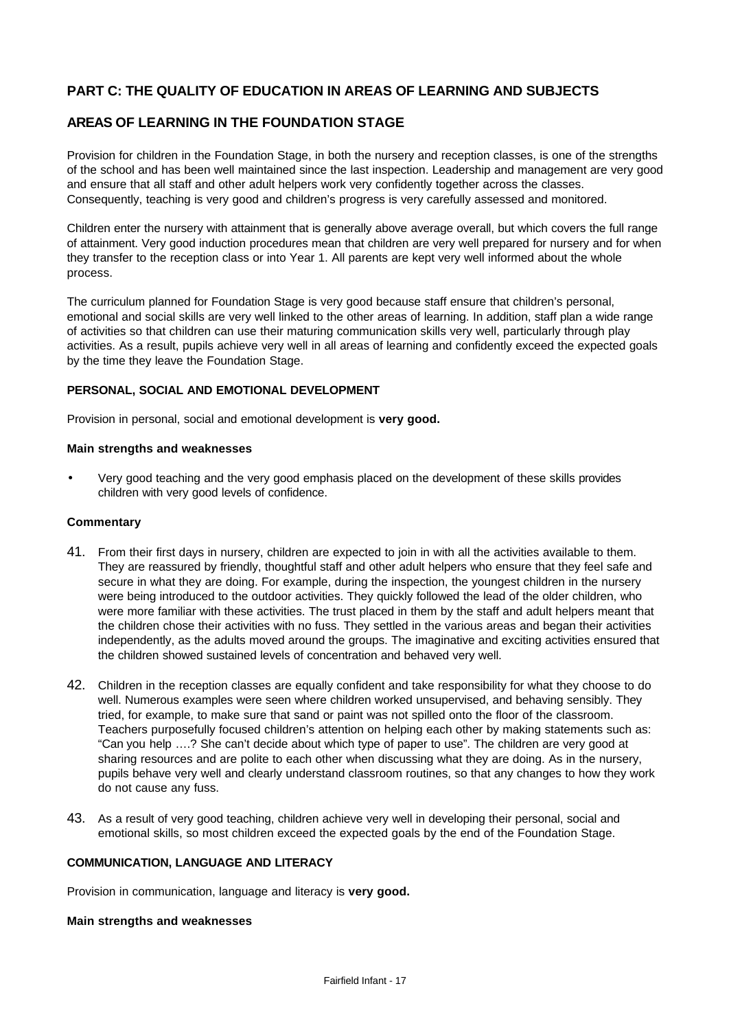# **PART C: THE QUALITY OF EDUCATION IN AREAS OF LEARNING AND SUBJECTS**

## **AREAS OF LEARNING IN THE FOUNDATION STAGE**

Provision for children in the Foundation Stage, in both the nursery and reception classes, is one of the strengths of the school and has been well maintained since the last inspection. Leadership and management are very good and ensure that all staff and other adult helpers work very confidently together across the classes. Consequently, teaching is very good and children's progress is very carefully assessed and monitored.

Children enter the nursery with attainment that is generally above average overall, but which covers the full range of attainment. Very good induction procedures mean that children are very well prepared for nursery and for when they transfer to the reception class or into Year 1. All parents are kept very well informed about the whole process.

The curriculum planned for Foundation Stage is very good because staff ensure that children's personal, emotional and social skills are very well linked to the other areas of learning. In addition, staff plan a wide range of activities so that children can use their maturing communication skills very well, particularly through play activities. As a result, pupils achieve very well in all areas of learning and confidently exceed the expected goals by the time they leave the Foundation Stage.

#### **PERSONAL, SOCIAL AND EMOTIONAL DEVELOPMENT**

Provision in personal, social and emotional development is **very good.**

#### **Main strengths and weaknesses**

• Very good teaching and the very good emphasis placed on the development of these skills provides children with very good levels of confidence.

#### **Commentary**

- 41. From their first days in nursery, children are expected to join in with all the activities available to them. They are reassured by friendly, thoughtful staff and other adult helpers who ensure that they feel safe and secure in what they are doing. For example, during the inspection, the youngest children in the nursery were being introduced to the outdoor activities. They quickly followed the lead of the older children, who were more familiar with these activities. The trust placed in them by the staff and adult helpers meant that the children chose their activities with no fuss. They settled in the various areas and began their activities independently, as the adults moved around the groups. The imaginative and exciting activities ensured that the children showed sustained levels of concentration and behaved very well.
- 42. Children in the reception classes are equally confident and take responsibility for what they choose to do well. Numerous examples were seen where children worked unsupervised, and behaving sensibly. They tried, for example, to make sure that sand or paint was not spilled onto the floor of the classroom. Teachers purposefully focused children's attention on helping each other by making statements such as: "Can you help ….? She can't decide about which type of paper to use". The children are very good at sharing resources and are polite to each other when discussing what they are doing. As in the nursery, pupils behave very well and clearly understand classroom routines, so that any changes to how they work do not cause any fuss.
- 43. As a result of very good teaching, children achieve very well in developing their personal, social and emotional skills, so most children exceed the expected goals by the end of the Foundation Stage.

#### **COMMUNICATION, LANGUAGE AND LITERACY**

Provision in communication, language and literacy is **very good.**

#### **Main strengths and weaknesses**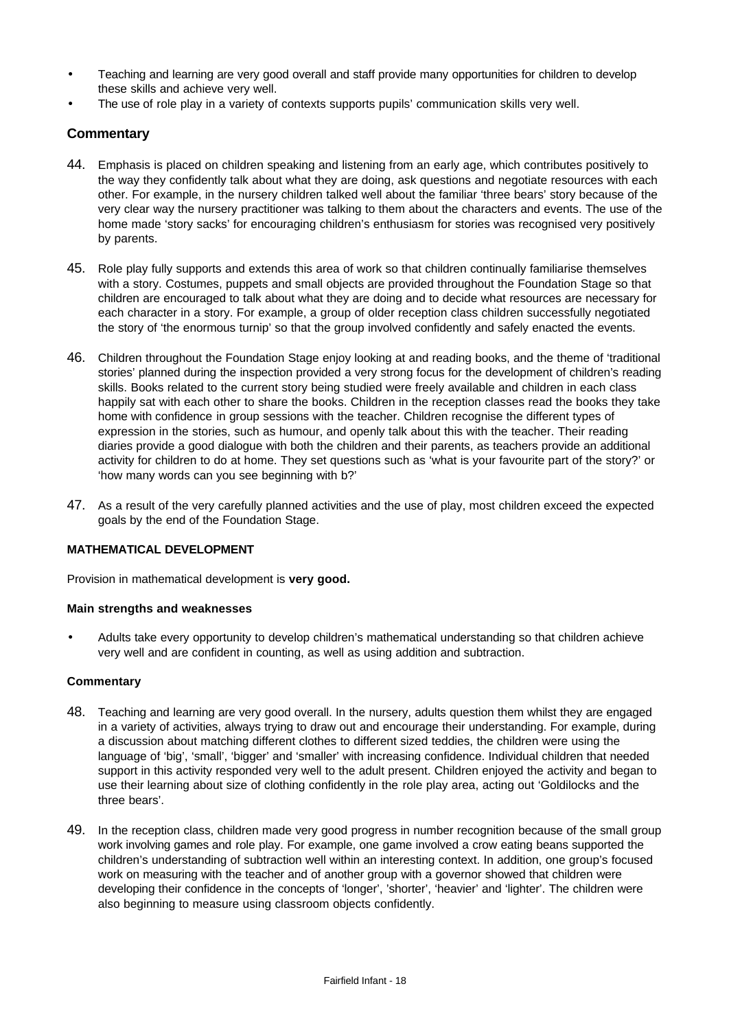- Teaching and learning are very good overall and staff provide many opportunities for children to develop these skills and achieve very well.
- The use of role play in a variety of contexts supports pupils' communication skills very well.

## **Commentary**

- 44. Emphasis is placed on children speaking and listening from an early age, which contributes positively to the way they confidently talk about what they are doing, ask questions and negotiate resources with each other. For example, in the nursery children talked well about the familiar 'three bears' story because of the very clear way the nursery practitioner was talking to them about the characters and events. The use of the home made 'story sacks' for encouraging children's enthusiasm for stories was recognised very positively by parents.
- 45. Role play fully supports and extends this area of work so that children continually familiarise themselves with a story. Costumes, puppets and small objects are provided throughout the Foundation Stage so that children are encouraged to talk about what they are doing and to decide what resources are necessary for each character in a story. For example, a group of older reception class children successfully negotiated the story of 'the enormous turnip' so that the group involved confidently and safely enacted the events.
- 46. Children throughout the Foundation Stage enjoy looking at and reading books, and the theme of 'traditional stories' planned during the inspection provided a very strong focus for the development of children's reading skills. Books related to the current story being studied were freely available and children in each class happily sat with each other to share the books. Children in the reception classes read the books they take home with confidence in group sessions with the teacher. Children recognise the different types of expression in the stories, such as humour, and openly talk about this with the teacher. Their reading diaries provide a good dialogue with both the children and their parents, as teachers provide an additional activity for children to do at home. They set questions such as 'what is your favourite part of the story?' or 'how many words can you see beginning with b?'
- 47. As a result of the very carefully planned activities and the use of play, most children exceed the expected goals by the end of the Foundation Stage.

#### **MATHEMATICAL DEVELOPMENT**

Provision in mathematical development is **very good.**

#### **Main strengths and weaknesses**

• Adults take every opportunity to develop children's mathematical understanding so that children achieve very well and are confident in counting, as well as using addition and subtraction.

- 48. Teaching and learning are very good overall. In the nursery, adults question them whilst they are engaged in a variety of activities, always trying to draw out and encourage their understanding. For example, during a discussion about matching different clothes to different sized teddies, the children were using the language of 'big', 'small', 'bigger' and 'smaller' with increasing confidence. Individual children that needed support in this activity responded very well to the adult present. Children enjoyed the activity and began to use their learning about size of clothing confidently in the role play area, acting out 'Goldilocks and the three bears'.
- 49. In the reception class, children made very good progress in number recognition because of the small group work involving games and role play. For example, one game involved a crow eating beans supported the children's understanding of subtraction well within an interesting context. In addition, one group's focused work on measuring with the teacher and of another group with a governor showed that children were developing their confidence in the concepts of 'longer', 'shorter', 'heavier' and 'lighter'. The children were also beginning to measure using classroom objects confidently.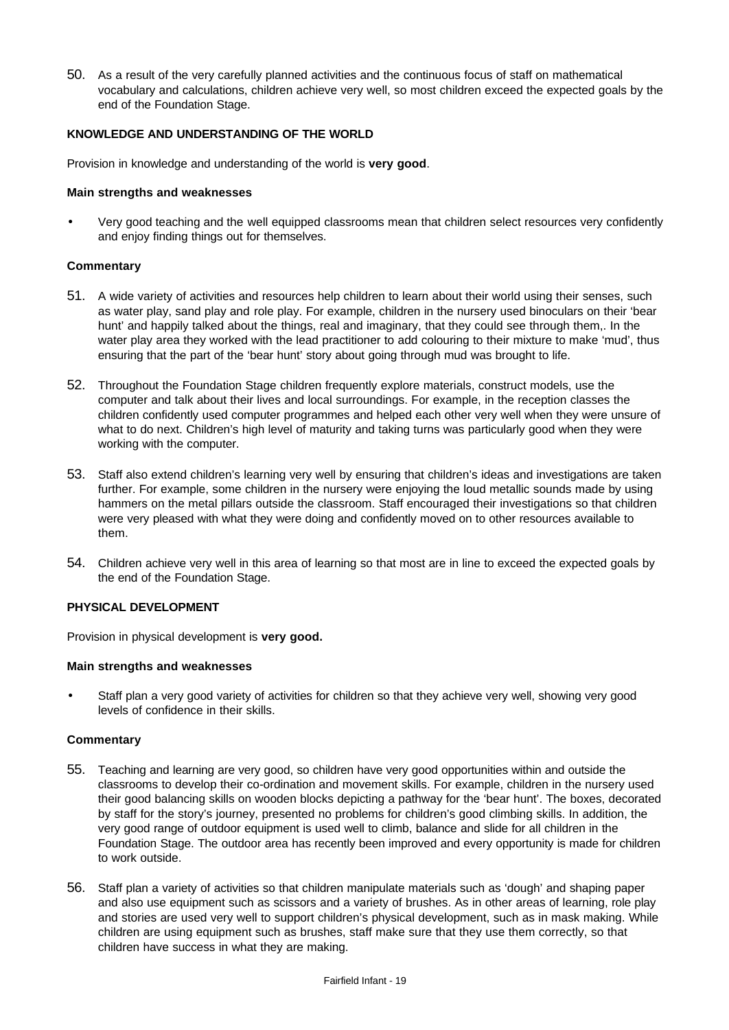50. As a result of the very carefully planned activities and the continuous focus of staff on mathematical vocabulary and calculations, children achieve very well, so most children exceed the expected goals by the end of the Foundation Stage.

#### **KNOWLEDGE AND UNDERSTANDING OF THE WORLD**

Provision in knowledge and understanding of the world is **very good**.

#### **Main strengths and weaknesses**

• Very good teaching and the well equipped classrooms mean that children select resources very confidently and enjoy finding things out for themselves.

### **Commentary**

- 51. A wide variety of activities and resources help children to learn about their world using their senses, such as water play, sand play and role play. For example, children in the nursery used binoculars on their 'bear hunt' and happily talked about the things, real and imaginary, that they could see through them,. In the water play area they worked with the lead practitioner to add colouring to their mixture to make 'mud', thus ensuring that the part of the 'bear hunt' story about going through mud was brought to life.
- 52. Throughout the Foundation Stage children frequently explore materials, construct models, use the computer and talk about their lives and local surroundings. For example, in the reception classes the children confidently used computer programmes and helped each other very well when they were unsure of what to do next. Children's high level of maturity and taking turns was particularly good when they were working with the computer.
- 53. Staff also extend children's learning very well by ensuring that children's ideas and investigations are taken further. For example, some children in the nursery were enjoying the loud metallic sounds made by using hammers on the metal pillars outside the classroom. Staff encouraged their investigations so that children were very pleased with what they were doing and confidently moved on to other resources available to them.
- 54. Children achieve very well in this area of learning so that most are in line to exceed the expected goals by the end of the Foundation Stage.

#### **PHYSICAL DEVELOPMENT**

Provision in physical development is **very good.**

#### **Main strengths and weaknesses**

Staff plan a very good variety of activities for children so that they achieve very well, showing very good levels of confidence in their skills.

- 55. Teaching and learning are very good, so children have very good opportunities within and outside the classrooms to develop their co-ordination and movement skills. For example, children in the nursery used their good balancing skills on wooden blocks depicting a pathway for the 'bear hunt'. The boxes, decorated by staff for the story's journey, presented no problems for children's good climbing skills. In addition, the very good range of outdoor equipment is used well to climb, balance and slide for all children in the Foundation Stage. The outdoor area has recently been improved and every opportunity is made for children to work outside.
- 56. Staff plan a variety of activities so that children manipulate materials such as 'dough' and shaping paper and also use equipment such as scissors and a variety of brushes. As in other areas of learning, role play and stories are used very well to support children's physical development, such as in mask making. While children are using equipment such as brushes, staff make sure that they use them correctly, so that children have success in what they are making.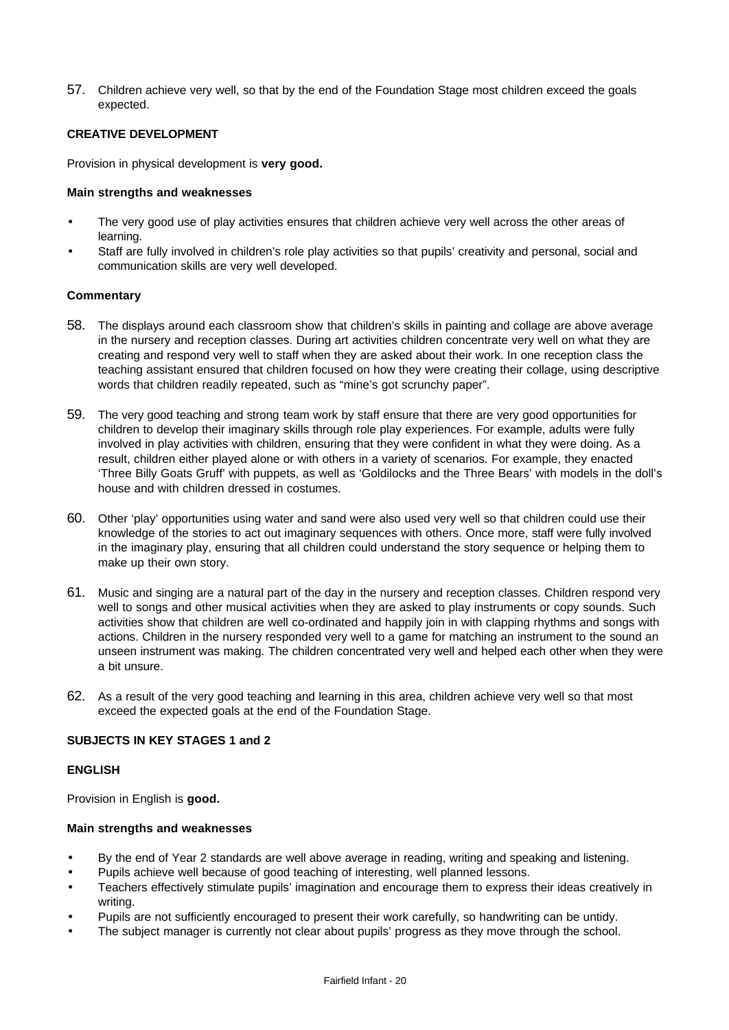57. Children achieve very well, so that by the end of the Foundation Stage most children exceed the goals expected.

#### **CREATIVE DEVELOPMENT**

Provision in physical development is **very good.**

#### **Main strengths and weaknesses**

- The very good use of play activities ensures that children achieve very well across the other areas of learning.
- Staff are fully involved in children's role play activities so that pupils' creativity and personal, social and communication skills are very well developed.

#### **Commentary**

- 58. The displays around each classroom show that children's skills in painting and collage are above average in the nursery and reception classes. During art activities children concentrate very well on what they are creating and respond very well to staff when they are asked about their work. In one reception class the teaching assistant ensured that children focused on how they were creating their collage, using descriptive words that children readily repeated, such as "mine's got scrunchy paper".
- 59. The very good teaching and strong team work by staff ensure that there are very good opportunities for children to develop their imaginary skills through role play experiences. For example, adults were fully involved in play activities with children, ensuring that they were confident in what they were doing. As a result, children either played alone or with others in a variety of scenarios. For example, they enacted 'Three Billy Goats Gruff' with puppets, as well as 'Goldilocks and the Three Bears' with models in the doll's house and with children dressed in costumes.
- 60. Other 'play' opportunities using water and sand were also used very well so that children could use their knowledge of the stories to act out imaginary sequences with others. Once more, staff were fully involved in the imaginary play, ensuring that all children could understand the story sequence or helping them to make up their own story.
- 61. Music and singing are a natural part of the day in the nursery and reception classes. Children respond very well to songs and other musical activities when they are asked to play instruments or copy sounds. Such activities show that children are well co-ordinated and happily join in with clapping rhythms and songs with actions. Children in the nursery responded very well to a game for matching an instrument to the sound an unseen instrument was making. The children concentrated very well and helped each other when they were a bit unsure.
- 62. As a result of the very good teaching and learning in this area, children achieve very well so that most exceed the expected goals at the end of the Foundation Stage.

### **SUBJECTS IN KEY STAGES 1 and 2**

#### **ENGLISH**

Provision in English is **good.**

#### **Main strengths and weaknesses**

- By the end of Year 2 standards are well above average in reading, writing and speaking and listening.
- Pupils achieve well because of good teaching of interesting, well planned lessons.
- Teachers effectively stimulate pupils' imagination and encourage them to express their ideas creatively in writing.
- Pupils are not sufficiently encouraged to present their work carefully, so handwriting can be untidy.
- The subject manager is currently not clear about pupils' progress as they move through the school.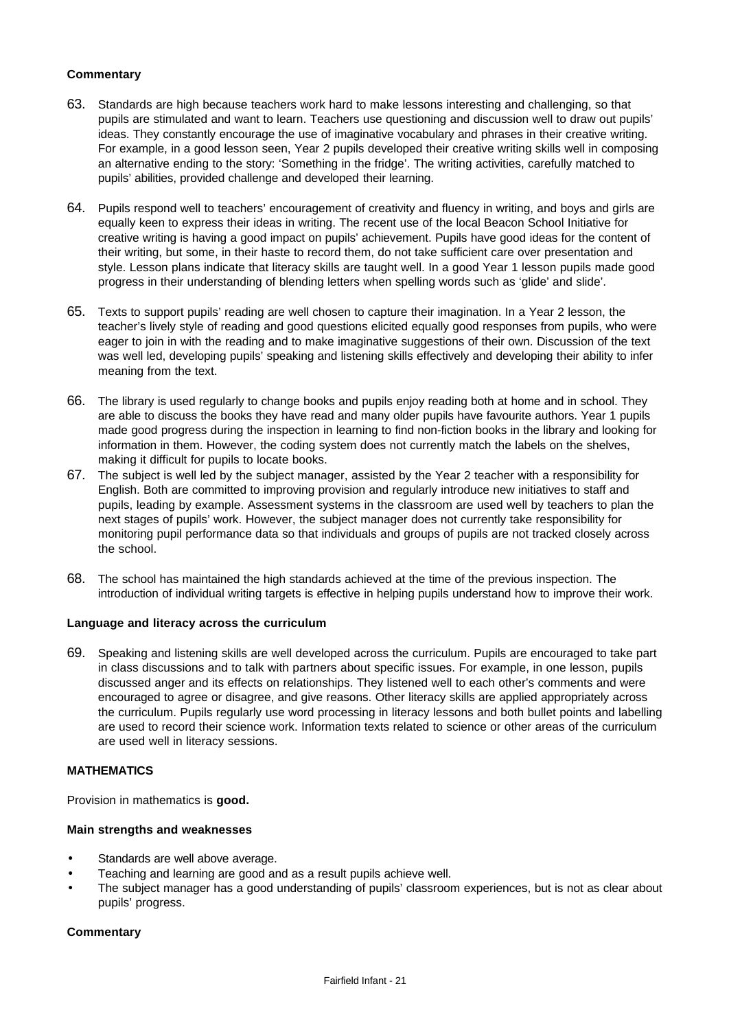### **Commentary**

- 63. Standards are high because teachers work hard to make lessons interesting and challenging, so that pupils are stimulated and want to learn. Teachers use questioning and discussion well to draw out pupils' ideas. They constantly encourage the use of imaginative vocabulary and phrases in their creative writing. For example, in a good lesson seen, Year 2 pupils developed their creative writing skills well in composing an alternative ending to the story: 'Something in the fridge'. The writing activities, carefully matched to pupils' abilities, provided challenge and developed their learning.
- 64. Pupils respond well to teachers' encouragement of creativity and fluency in writing, and boys and girls are equally keen to express their ideas in writing. The recent use of the local Beacon School Initiative for creative writing is having a good impact on pupils' achievement. Pupils have good ideas for the content of their writing, but some, in their haste to record them, do not take sufficient care over presentation and style. Lesson plans indicate that literacy skills are taught well. In a good Year 1 lesson pupils made good progress in their understanding of blending letters when spelling words such as 'glide' and slide'.
- 65. Texts to support pupils' reading are well chosen to capture their imagination. In a Year 2 lesson, the teacher's lively style of reading and good questions elicited equally good responses from pupils, who were eager to join in with the reading and to make imaginative suggestions of their own. Discussion of the text was well led, developing pupils' speaking and listening skills effectively and developing their ability to infer meaning from the text.
- 66. The library is used regularly to change books and pupils enjoy reading both at home and in school. They are able to discuss the books they have read and many older pupils have favourite authors. Year 1 pupils made good progress during the inspection in learning to find non-fiction books in the library and looking for information in them. However, the coding system does not currently match the labels on the shelves, making it difficult for pupils to locate books.
- 67. The subject is well led by the subject manager, assisted by the Year 2 teacher with a responsibility for English. Both are committed to improving provision and regularly introduce new initiatives to staff and pupils, leading by example. Assessment systems in the classroom are used well by teachers to plan the next stages of pupils' work. However, the subject manager does not currently take responsibility for monitoring pupil performance data so that individuals and groups of pupils are not tracked closely across the school.
- 68. The school has maintained the high standards achieved at the time of the previous inspection. The introduction of individual writing targets is effective in helping pupils understand how to improve their work.

#### **Language and literacy across the curriculum**

69. Speaking and listening skills are well developed across the curriculum. Pupils are encouraged to take part in class discussions and to talk with partners about specific issues. For example, in one lesson, pupils discussed anger and its effects on relationships. They listened well to each other's comments and were encouraged to agree or disagree, and give reasons. Other literacy skills are applied appropriately across the curriculum. Pupils regularly use word processing in literacy lessons and both bullet points and labelling are used to record their science work. Information texts related to science or other areas of the curriculum are used well in literacy sessions.

#### **MATHEMATICS**

Provision in mathematics is **good.**

#### **Main strengths and weaknesses**

- Standards are well above average.
- Teaching and learning are good and as a result pupils achieve well.
- The subject manager has a good understanding of pupils' classroom experiences, but is not as clear about pupils' progress.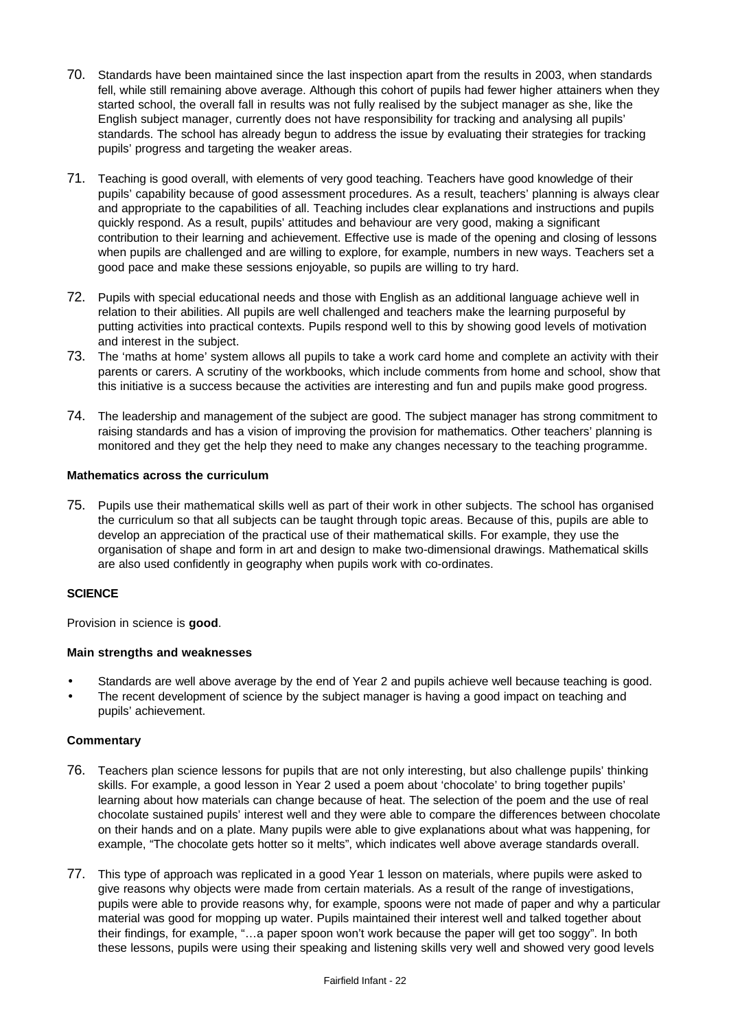- 70. Standards have been maintained since the last inspection apart from the results in 2003, when standards fell, while still remaining above average. Although this cohort of pupils had fewer higher attainers when they started school, the overall fall in results was not fully realised by the subject manager as she, like the English subject manager, currently does not have responsibility for tracking and analysing all pupils' standards. The school has already begun to address the issue by evaluating their strategies for tracking pupils' progress and targeting the weaker areas.
- 71. Teaching is good overall, with elements of very good teaching. Teachers have good knowledge of their pupils' capability because of good assessment procedures. As a result, teachers' planning is always clear and appropriate to the capabilities of all. Teaching includes clear explanations and instructions and pupils quickly respond. As a result, pupils' attitudes and behaviour are very good, making a significant contribution to their learning and achievement. Effective use is made of the opening and closing of lessons when pupils are challenged and are willing to explore, for example, numbers in new ways. Teachers set a good pace and make these sessions enjoyable, so pupils are willing to try hard.
- 72. Pupils with special educational needs and those with English as an additional language achieve well in relation to their abilities. All pupils are well challenged and teachers make the learning purposeful by putting activities into practical contexts. Pupils respond well to this by showing good levels of motivation and interest in the subject.
- 73. The 'maths at home' system allows all pupils to take a work card home and complete an activity with their parents or carers. A scrutiny of the workbooks, which include comments from home and school, show that this initiative is a success because the activities are interesting and fun and pupils make good progress.
- 74. The leadership and management of the subject are good. The subject manager has strong commitment to raising standards and has a vision of improving the provision for mathematics. Other teachers' planning is monitored and they get the help they need to make any changes necessary to the teaching programme.

## **Mathematics across the curriculum**

75. Pupils use their mathematical skills well as part of their work in other subjects. The school has organised the curriculum so that all subjects can be taught through topic areas. Because of this, pupils are able to develop an appreciation of the practical use of their mathematical skills. For example, they use the organisation of shape and form in art and design to make two-dimensional drawings. Mathematical skills are also used confidently in geography when pupils work with co-ordinates.

### **SCIENCE**

Provision in science is **good**.

### **Main strengths and weaknesses**

- Standards are well above average by the end of Year 2 and pupils achieve well because teaching is good.
- The recent development of science by the subject manager is having a good impact on teaching and pupils' achievement.

- 76. Teachers plan science lessons for pupils that are not only interesting, but also challenge pupils' thinking skills. For example, a good lesson in Year 2 used a poem about 'chocolate' to bring together pupils' learning about how materials can change because of heat. The selection of the poem and the use of real chocolate sustained pupils' interest well and they were able to compare the differences between chocolate on their hands and on a plate. Many pupils were able to give explanations about what was happening, for example, "The chocolate gets hotter so it melts", which indicates well above average standards overall.
- 77. This type of approach was replicated in a good Year 1 lesson on materials, where pupils were asked to give reasons why objects were made from certain materials. As a result of the range of investigations, pupils were able to provide reasons why, for example, spoons were not made of paper and why a particular material was good for mopping up water. Pupils maintained their interest well and talked together about their findings, for example, "…a paper spoon won't work because the paper will get too soggy". In both these lessons, pupils were using their speaking and listening skills very well and showed very good levels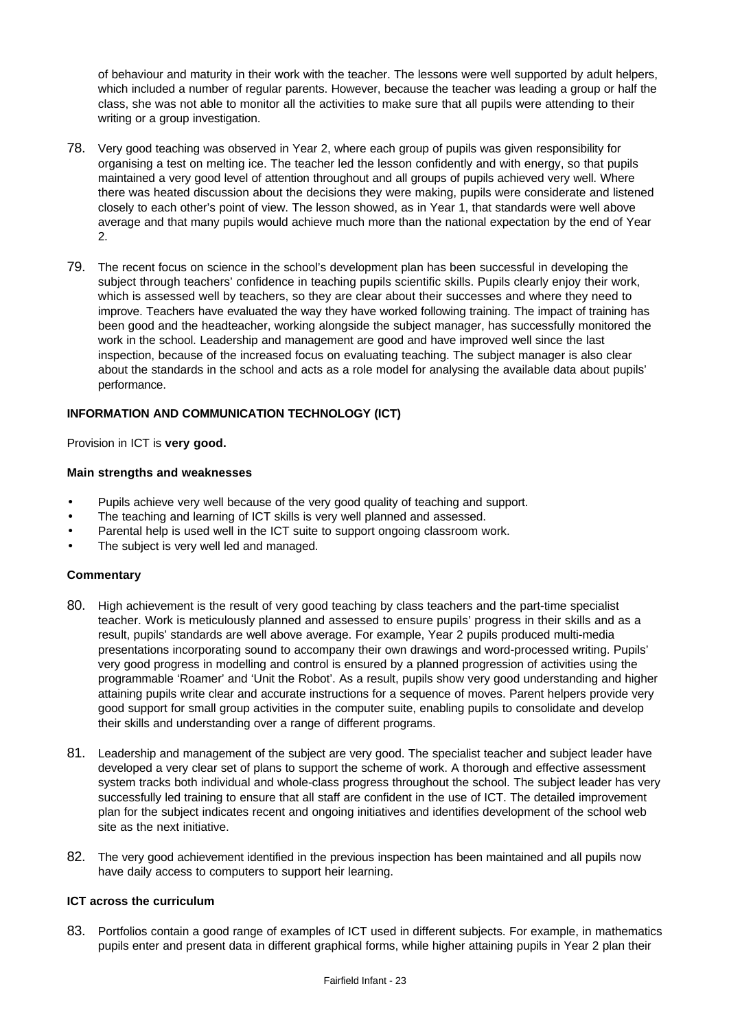of behaviour and maturity in their work with the teacher. The lessons were well supported by adult helpers, which included a number of regular parents. However, because the teacher was leading a group or half the class, she was not able to monitor all the activities to make sure that all pupils were attending to their writing or a group investigation.

- 78. Very good teaching was observed in Year 2, where each group of pupils was given responsibility for organising a test on melting ice. The teacher led the lesson confidently and with energy, so that pupils maintained a very good level of attention throughout and all groups of pupils achieved very well. Where there was heated discussion about the decisions they were making, pupils were considerate and listened closely to each other's point of view. The lesson showed, as in Year 1, that standards were well above average and that many pupils would achieve much more than the national expectation by the end of Year 2.
- 79. The recent focus on science in the school's development plan has been successful in developing the subject through teachers' confidence in teaching pupils scientific skills. Pupils clearly enjoy their work, which is assessed well by teachers, so they are clear about their successes and where they need to improve. Teachers have evaluated the way they have worked following training. The impact of training has been good and the headteacher, working alongside the subject manager, has successfully monitored the work in the school. Leadership and management are good and have improved well since the last inspection, because of the increased focus on evaluating teaching. The subject manager is also clear about the standards in the school and acts as a role model for analysing the available data about pupils' performance.

## **INFORMATION AND COMMUNICATION TECHNOLOGY (ICT)**

Provision in ICT is **very good.**

#### **Main strengths and weaknesses**

- Pupils achieve very well because of the very good quality of teaching and support.
- The teaching and learning of ICT skills is very well planned and assessed.
- Parental help is used well in the ICT suite to support ongoing classroom work.
- The subject is very well led and managed.

### **Commentary**

- 80. High achievement is the result of very good teaching by class teachers and the part-time specialist teacher. Work is meticulously planned and assessed to ensure pupils' progress in their skills and as a result, pupils' standards are well above average. For example, Year 2 pupils produced multi-media presentations incorporating sound to accompany their own drawings and word-processed writing. Pupils' very good progress in modelling and control is ensured by a planned progression of activities using the programmable 'Roamer' and 'Unit the Robot'. As a result, pupils show very good understanding and higher attaining pupils write clear and accurate instructions for a sequence of moves. Parent helpers provide very good support for small group activities in the computer suite, enabling pupils to consolidate and develop their skills and understanding over a range of different programs.
- 81. Leadership and management of the subject are very good. The specialist teacher and subject leader have developed a very clear set of plans to support the scheme of work. A thorough and effective assessment system tracks both individual and whole-class progress throughout the school. The subject leader has very successfully led training to ensure that all staff are confident in the use of ICT. The detailed improvement plan for the subject indicates recent and ongoing initiatives and identifies development of the school web site as the next initiative.
- 82. The very good achievement identified in the previous inspection has been maintained and all pupils now have daily access to computers to support heir learning.

#### **ICT across the curriculum**

83. Portfolios contain a good range of examples of ICT used in different subjects. For example, in mathematics pupils enter and present data in different graphical forms, while higher attaining pupils in Year 2 plan their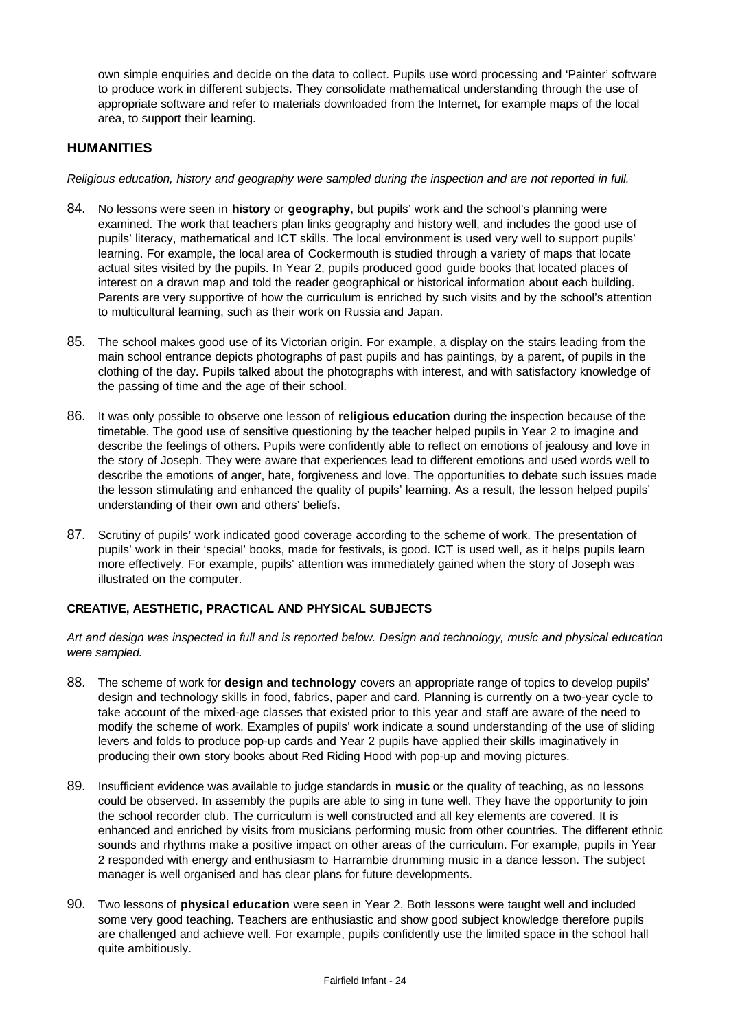own simple enquiries and decide on the data to collect. Pupils use word processing and 'Painter' software to produce work in different subjects. They consolidate mathematical understanding through the use of appropriate software and refer to materials downloaded from the Internet, for example maps of the local area, to support their learning.

## **HUMANITIES**

*Religious education, history and geography were sampled during the inspection and are not reported in full.*

- 84. No lessons were seen in **history** or **geography**, but pupils' work and the school's planning were examined. The work that teachers plan links geography and history well, and includes the good use of pupils' literacy, mathematical and ICT skills. The local environment is used very well to support pupils' learning. For example, the local area of Cockermouth is studied through a variety of maps that locate actual sites visited by the pupils. In Year 2, pupils produced good guide books that located places of interest on a drawn map and told the reader geographical or historical information about each building. Parents are very supportive of how the curriculum is enriched by such visits and by the school's attention to multicultural learning, such as their work on Russia and Japan.
- 85. The school makes good use of its Victorian origin. For example, a display on the stairs leading from the main school entrance depicts photographs of past pupils and has paintings, by a parent, of pupils in the clothing of the day. Pupils talked about the photographs with interest, and with satisfactory knowledge of the passing of time and the age of their school.
- 86. It was only possible to observe one lesson of **religious education** during the inspection because of the timetable. The good use of sensitive questioning by the teacher helped pupils in Year 2 to imagine and describe the feelings of others. Pupils were confidently able to reflect on emotions of jealousy and love in the story of Joseph. They were aware that experiences lead to different emotions and used words well to describe the emotions of anger, hate, forgiveness and love. The opportunities to debate such issues made the lesson stimulating and enhanced the quality of pupils' learning. As a result, the lesson helped pupils' understanding of their own and others' beliefs.
- 87. Scrutiny of pupils' work indicated good coverage according to the scheme of work. The presentation of pupils' work in their 'special' books, made for festivals, is good. ICT is used well, as it helps pupils learn more effectively. For example, pupils' attention was immediately gained when the story of Joseph was illustrated on the computer.

### **CREATIVE, AESTHETIC, PRACTICAL AND PHYSICAL SUBJECTS**

*Art and design was inspected in full and is reported below. Design and technology, music and physical education were sampled.*

- 88. The scheme of work for **design and technology** covers an appropriate range of topics to develop pupils' design and technology skills in food, fabrics, paper and card. Planning is currently on a two-year cycle to take account of the mixed-age classes that existed prior to this year and staff are aware of the need to modify the scheme of work. Examples of pupils' work indicate a sound understanding of the use of sliding levers and folds to produce pop-up cards and Year 2 pupils have applied their skills imaginatively in producing their own story books about Red Riding Hood with pop-up and moving pictures.
- 89. Insufficient evidence was available to judge standards in **music** or the quality of teaching, as no lessons could be observed. In assembly the pupils are able to sing in tune well. They have the opportunity to join the school recorder club. The curriculum is well constructed and all key elements are covered. It is enhanced and enriched by visits from musicians performing music from other countries. The different ethnic sounds and rhythms make a positive impact on other areas of the curriculum. For example, pupils in Year 2 responded with energy and enthusiasm to Harrambie drumming music in a dance lesson. The subject manager is well organised and has clear plans for future developments.
- 90. Two lessons of **physical education** were seen in Year 2. Both lessons were taught well and included some very good teaching. Teachers are enthusiastic and show good subject knowledge therefore pupils are challenged and achieve well. For example, pupils confidently use the limited space in the school hall quite ambitiously.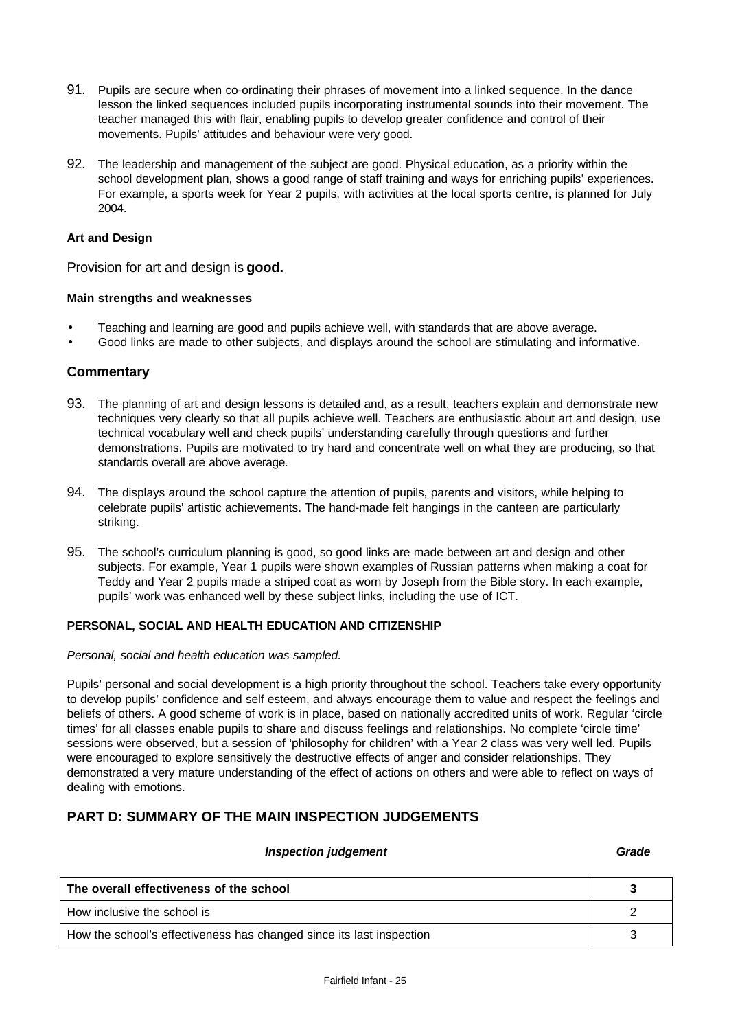- 91. Pupils are secure when co-ordinating their phrases of movement into a linked sequence. In the dance lesson the linked sequences included pupils incorporating instrumental sounds into their movement. The teacher managed this with flair, enabling pupils to develop greater confidence and control of their movements. Pupils' attitudes and behaviour were very good.
- 92. The leadership and management of the subject are good. Physical education, as a priority within the school development plan, shows a good range of staff training and ways for enriching pupils' experiences. For example, a sports week for Year 2 pupils, with activities at the local sports centre, is planned for July 2004.

#### **Art and Design**

Provision for art and design is **good.**

#### **Main strengths and weaknesses**

- Teaching and learning are good and pupils achieve well, with standards that are above average.
- Good links are made to other subjects, and displays around the school are stimulating and informative.

### **Commentary**

- 93. The planning of art and design lessons is detailed and, as a result, teachers explain and demonstrate new techniques very clearly so that all pupils achieve well. Teachers are enthusiastic about art and design, use technical vocabulary well and check pupils' understanding carefully through questions and further demonstrations. Pupils are motivated to try hard and concentrate well on what they are producing, so that standards overall are above average.
- 94. The displays around the school capture the attention of pupils, parents and visitors, while helping to celebrate pupils' artistic achievements. The hand-made felt hangings in the canteen are particularly striking.
- 95. The school's curriculum planning is good, so good links are made between art and design and other subjects. For example, Year 1 pupils were shown examples of Russian patterns when making a coat for Teddy and Year 2 pupils made a striped coat as worn by Joseph from the Bible story. In each example, pupils' work was enhanced well by these subject links, including the use of ICT.

#### **PERSONAL, SOCIAL AND HEALTH EDUCATION AND CITIZENSHIP**

#### *Personal, social and health education was sampled.*

Pupils' personal and social development is a high priority throughout the school. Teachers take every opportunity to develop pupils' confidence and self esteem, and always encourage them to value and respect the feelings and beliefs of others. A good scheme of work is in place, based on nationally accredited units of work. Regular 'circle times' for all classes enable pupils to share and discuss feelings and relationships. No complete 'circle time' sessions were observed, but a session of 'philosophy for children' with a Year 2 class was very well led. Pupils were encouraged to explore sensitively the destructive effects of anger and consider relationships. They demonstrated a very mature understanding of the effect of actions on others and were able to reflect on ways of dealing with emotions.

### **PART D: SUMMARY OF THE MAIN INSPECTION JUDGEMENTS**

#### *Inspection judgement Grade*

| The overall effectiveness of the school                              |  |
|----------------------------------------------------------------------|--|
| How inclusive the school is                                          |  |
| How the school's effectiveness has changed since its last inspection |  |